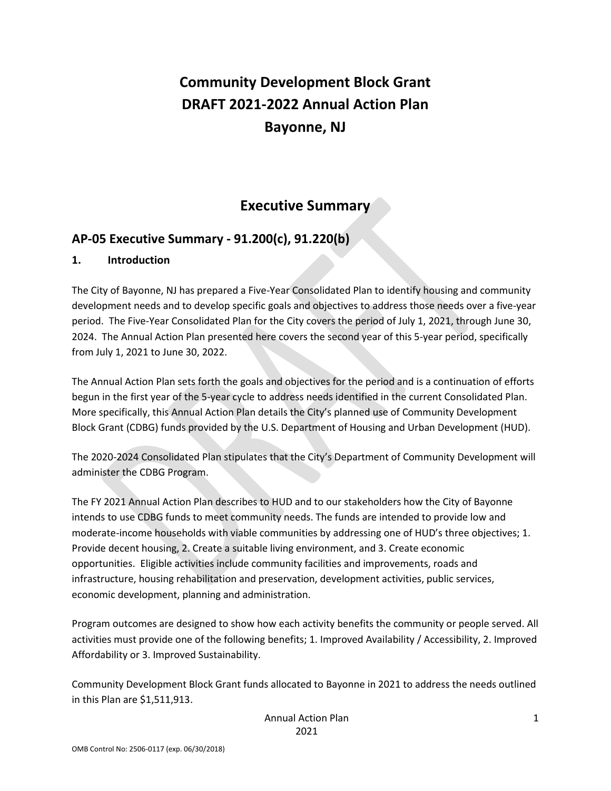# **Community Development Block Grant DRAFT 2021-2022 Annual Action Plan Bayonne, NJ**

# **Executive Summary**

# **AP-05 Executive Summary - 91.200(c), 91.220(b)**

### **1. Introduction**

The City of Bayonne, NJ has prepared a Five-Year Consolidated Plan to identify housing and community development needs and to develop specific goals and objectives to address those needs over a five-year period. The Five-Year Consolidated Plan for the City covers the period of July 1, 2021, through June 30, 2024. The Annual Action Plan presented here covers the second year of this 5-year period, specifically from July 1, 2021 to June 30, 2022.

The Annual Action Plan sets forth the goals and objectives for the period and is a continuation of efforts begun in the first year of the 5-year cycle to address needs identified in the current Consolidated Plan. More specifically, this Annual Action Plan details the City's planned use of Community Development Block Grant (CDBG) funds provided by the U.S. Department of Housing and Urban Development (HUD).

The 2020-2024 Consolidated Plan stipulates that the City's Department of Community Development will administer the CDBG Program.

The FY 2021 Annual Action Plan describes to HUD and to our stakeholders how the City of Bayonne intends to use CDBG funds to meet community needs. The funds are intended to provide low and moderate-income households with viable communities by addressing one of HUD's three objectives; 1. Provide decent housing, 2. Create a suitable living environment, and 3. Create economic opportunities. Eligible activities include community facilities and improvements, roads and infrastructure, housing rehabilitation and preservation, development activities, public services, economic development, planning and administration.

Program outcomes are designed to show how each activity benefits the community or people served. All activities must provide one of the following benefits; 1. Improved Availability / Accessibility, 2. Improved Affordability or 3. Improved Sustainability.

Community Development Block Grant funds allocated to Bayonne in 2021 to address the needs outlined in this Plan are \$1,511,913.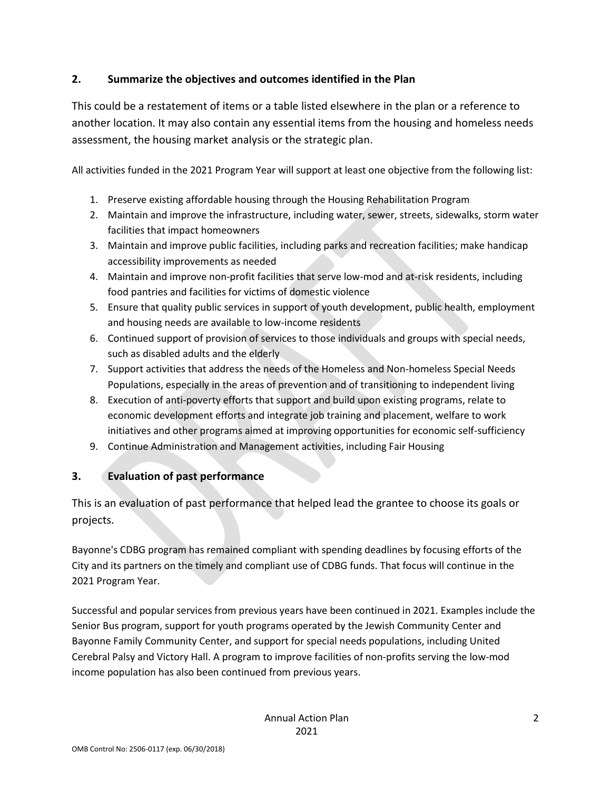## **2. Summarize the objectives and outcomes identified in the Plan**

This could be a restatement of items or a table listed elsewhere in the plan or a reference to another location. It may also contain any essential items from the housing and homeless needs assessment, the housing market analysis or the strategic plan.

All activities funded in the 2021 Program Year will support at least one objective from the following list:

- 1. Preserve existing affordable housing through the Housing Rehabilitation Program
- 2. Maintain and improve the infrastructure, including water, sewer, streets, sidewalks, storm water facilities that impact homeowners
- 3. Maintain and improve public facilities, including parks and recreation facilities; make handicap accessibility improvements as needed
- 4. Maintain and improve non-profit facilities that serve low-mod and at-risk residents, including food pantries and facilities for victims of domestic violence
- 5. Ensure that quality public services in support of youth development, public health, employment and housing needs are available to low-income residents
- 6. Continued support of provision of services to those individuals and groups with special needs, such as disabled adults and the elderly
- 7. Support activities that address the needs of the Homeless and Non-homeless Special Needs Populations, especially in the areas of prevention and of transitioning to independent living
- 8. Execution of anti-poverty efforts that support and build upon existing programs, relate to economic development efforts and integrate job training and placement, welfare to work initiatives and other programs aimed at improving opportunities for economic self-sufficiency
- 9. Continue Administration and Management activities, including Fair Housing

## **3. Evaluation of past performance**

This is an evaluation of past performance that helped lead the grantee to choose its goals or projects.

Bayonne's CDBG program has remained compliant with spending deadlines by focusing efforts of the City and its partners on the timely and compliant use of CDBG funds. That focus will continue in the 2021 Program Year.

Successful and popular services from previous years have been continued in 2021. Examples include the Senior Bus program, support for youth programs operated by the Jewish Community Center and Bayonne Family Community Center, and support for special needs populations, including United Cerebral Palsy and Victory Hall. A program to improve facilities of non-profits serving the low-mod income population has also been continued from previous years.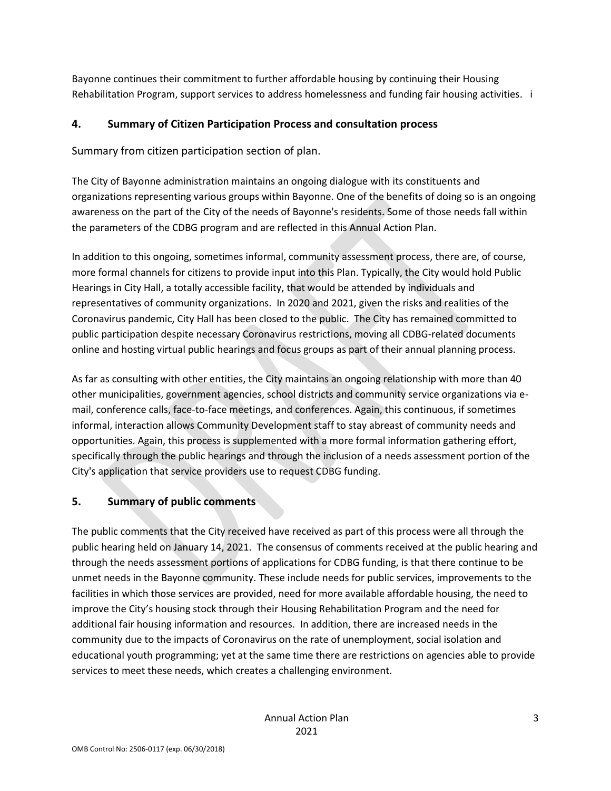Bayonne continues their commitment to further affordable housing by continuing their Housing Rehabilitation Program, support services to address homelessness and funding fair housing activities. i

## **4. Summary of Citizen Participation Process and consultation process**

Summary from citizen participation section of plan.

The City of Bayonne administration maintains an ongoing dialogue with its constituents and organizations representing various groups within Bayonne. One of the benefits of doing so is an ongoing awareness on the part of the City of the needs of Bayonne's residents. Some of those needs fall within the parameters of the CDBG program and are reflected in this Annual Action Plan.

In addition to this ongoing, sometimes informal, community assessment process, there are, of course, more formal channels for citizens to provide input into this Plan. Typically, the City would hold Public Hearings in City Hall, a totally accessible facility, that would be attended by individuals and representatives of community organizations. In 2020 and 2021, given the risks and realities of the Coronavirus pandemic, City Hall has been closed to the public. The City has remained committed to public participation despite necessary Coronavirus restrictions, moving all CDBG-related documents online and hosting virtual public hearings and focus groups as part of their annual planning process.

As far as consulting with other entities, the City maintains an ongoing relationship with more than 40 other municipalities, government agencies, school districts and community service organizations via email, conference calls, face-to-face meetings, and conferences. Again, this continuous, if sometimes informal, interaction allows Community Development staff to stay abreast of community needs and opportunities. Again, this process is supplemented with a more formal information gathering effort, specifically through the public hearings and through the inclusion of a needs assessment portion of the City's application that service providers use to request CDBG funding.

## **5. Summary of public comments**

The public comments that the City received have received as part of this process were all through the public hearing held on January 14, 2021. The consensus of comments received at the public hearing and through the needs assessment portions of applications for CDBG funding, is that there continue to be unmet needs in the Bayonne community. These include needs for public services, improvements to the facilities in which those services are provided, need for more available affordable housing, the need to improve the City's housing stock through their Housing Rehabilitation Program and the need for additional fair housing information and resources. In addition, there are increased needs in the community due to the impacts of Coronavirus on the rate of unemployment, social isolation and educational youth programming; yet at the same time there are restrictions on agencies able to provide services to meet these needs, which creates a challenging environment.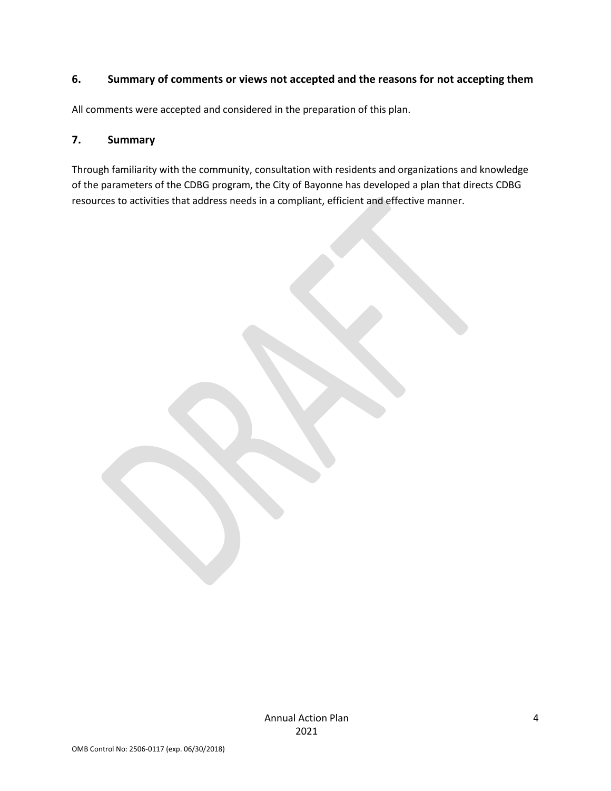### **6. Summary of comments or views not accepted and the reasons for not accepting them**

All comments were accepted and considered in the preparation of this plan.

#### **7. Summary**

Through familiarity with the community, consultation with residents and organizations and knowledge of the parameters of the CDBG program, the City of Bayonne has developed a plan that directs CDBG resources to activities that address needs in a compliant, efficient and effective manner.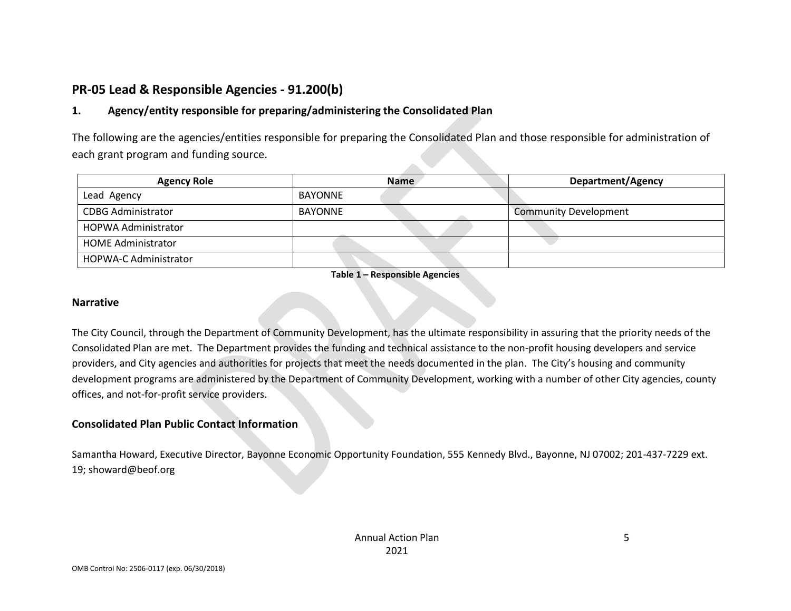# **PR-05 Lead & Responsible Agencies - 91.200(b)**

## **1. Agency/entity responsible for preparing/administering the Consolidated Plan**

The following are the agencies/entities responsible for preparing the Consolidated Plan and those responsible for administration of each grant program and funding source.

| <b>Agency Role</b>           | <b>Name</b>    | Department/Agency            |
|------------------------------|----------------|------------------------------|
| Lead Agency                  | <b>BAYONNE</b> |                              |
| <b>CDBG Administrator</b>    | <b>BAYONNE</b> | <b>Community Development</b> |
| <b>HOPWA Administrator</b>   |                |                              |
| <b>HOME Administrator</b>    |                |                              |
| <b>HOPWA-C Administrator</b> |                |                              |

**Table 1 – Responsible Agencies**

#### **Narrative**

The City Council, through the Department of Community Development, has the ultimate responsibility in assuring that the priority needs of the Consolidated Plan are met. The Department provides the funding and technical assistance to the non-profit housing developers and service providers, and City agencies and authorities for projects that meet the needs documented in the plan. The City's housing and community development programs are administered by the Department of Community Development, working with a number of other City agencies, county offices, and not-for-profit service providers.

#### **Consolidated Plan Public Contact Information**

Samantha Howard, Executive Director, Bayonne Economic Opportunity Foundation, 555 Kennedy Blvd., Bayonne, NJ 07002; 201-437-7229 ext. 19; showard@beof.org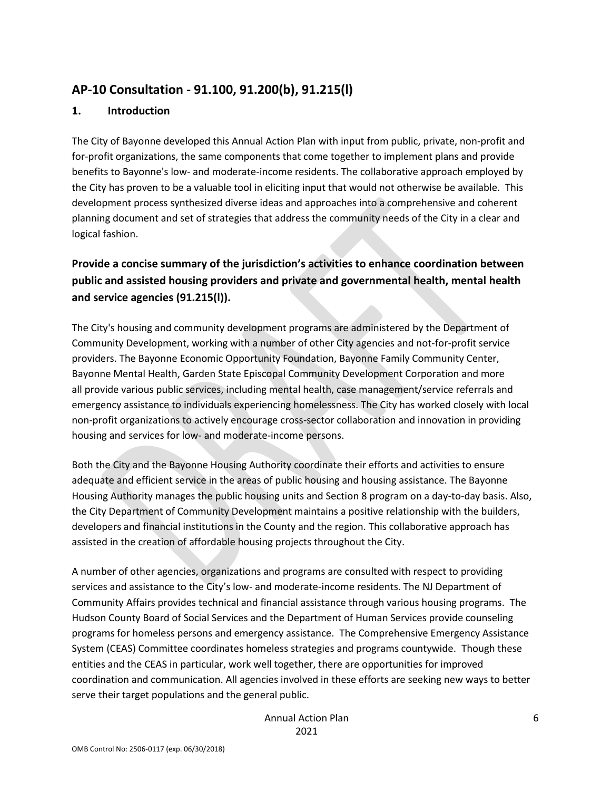# **AP-10 Consultation - 91.100, 91.200(b), 91.215(l)**

#### **1. Introduction**

The City of Bayonne developed this Annual Action Plan with input from public, private, non-profit and for-profit organizations, the same components that come together to implement plans and provide benefits to Bayonne's low- and moderate-income residents. The collaborative approach employed by the City has proven to be a valuable tool in eliciting input that would not otherwise be available. This development process synthesized diverse ideas and approaches into a comprehensive and coherent planning document and set of strategies that address the community needs of the City in a clear and logical fashion.

# **Provide a concise summary of the jurisdiction's activities to enhance coordination between public and assisted housing providers and private and governmental health, mental health and service agencies (91.215(l)).**

The City's housing and community development programs are administered by the Department of Community Development, working with a number of other City agencies and not-for-profit service providers. The Bayonne Economic Opportunity Foundation, Bayonne Family Community Center, Bayonne Mental Health, Garden State Episcopal Community Development Corporation and more all provide various public services, including mental health, case management/service referrals and emergency assistance to individuals experiencing homelessness. The City has worked closely with local non-profit organizations to actively encourage cross-sector collaboration and innovation in providing housing and services for low- and moderate-income persons.

Both the City and the Bayonne Housing Authority coordinate their efforts and activities to ensure adequate and efficient service in the areas of public housing and housing assistance. The Bayonne Housing Authority manages the public housing units and Section 8 program on a day-to-day basis. Also, the City Department of Community Development maintains a positive relationship with the builders, developers and financial institutions in the County and the region. This collaborative approach has assisted in the creation of affordable housing projects throughout the City.

A number of other agencies, organizations and programs are consulted with respect to providing services and assistance to the City's low- and moderate-income residents. The NJ Department of Community Affairs provides technical and financial assistance through various housing programs. The Hudson County Board of Social Services and the Department of Human Services provide counseling programs for homeless persons and emergency assistance. The Comprehensive Emergency Assistance System (CEAS) Committee coordinates homeless strategies and programs countywide. Though these entities and the CEAS in particular, work well together, there are opportunities for improved coordination and communication. All agencies involved in these efforts are seeking new ways to better serve their target populations and the general public.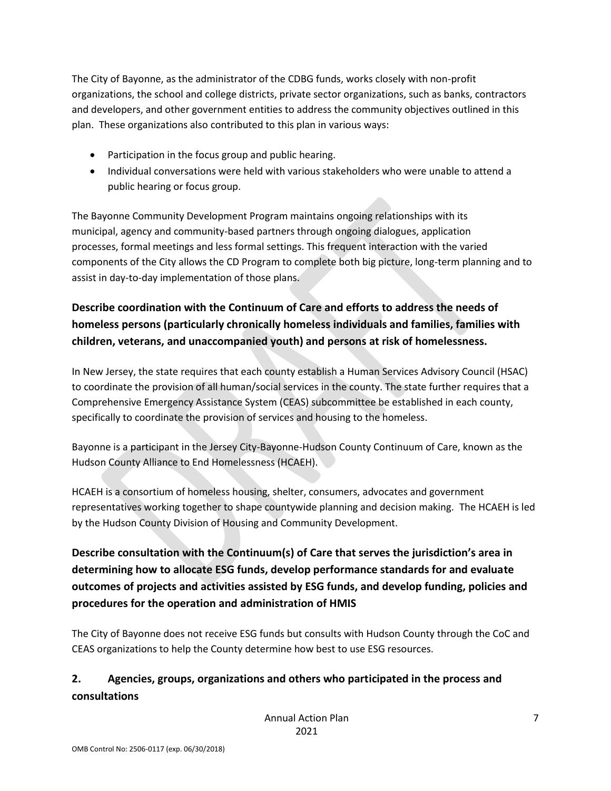The City of Bayonne, as the administrator of the CDBG funds, works closely with non-profit organizations, the school and college districts, private sector organizations, such as banks, contractors and developers, and other government entities to address the community objectives outlined in this plan. These organizations also contributed to this plan in various ways:

- Participation in the focus group and public hearing.
- Individual conversations were held with various stakeholders who were unable to attend a public hearing or focus group.

The Bayonne Community Development Program maintains ongoing relationships with its municipal, agency and community-based partners through ongoing dialogues, application processes, formal meetings and less formal settings. This frequent interaction with the varied components of the City allows the CD Program to complete both big picture, long-term planning and to assist in day-to-day implementation of those plans.

# **Describe coordination with the Continuum of Care and efforts to address the needs of homeless persons (particularly chronically homeless individuals and families, families with children, veterans, and unaccompanied youth) and persons at risk of homelessness.**

In New Jersey, the state requires that each county establish a Human Services Advisory Council (HSAC) to coordinate the provision of all human/social services in the county. The state further requires that a Comprehensive Emergency Assistance System (CEAS) subcommittee be established in each county, specifically to coordinate the provision of services and housing to the homeless.

Bayonne is a participant in the Jersey City-Bayonne-Hudson County Continuum of Care, known as the Hudson County Alliance to End Homelessness (HCAEH).

HCAEH is a consortium of homeless housing, shelter, consumers, advocates and government representatives working together to shape countywide planning and decision making. The HCAEH is led by the Hudson County Division of Housing and Community Development.

**Describe consultation with the Continuum(s) of Care that serves the jurisdiction's area in determining how to allocate ESG funds, develop performance standards for and evaluate outcomes of projects and activities assisted by ESG funds, and develop funding, policies and procedures for the operation and administration of HMIS**

The City of Bayonne does not receive ESG funds but consults with Hudson County through the CoC and CEAS organizations to help the County determine how best to use ESG resources.

# **2. Agencies, groups, organizations and others who participated in the process and consultations**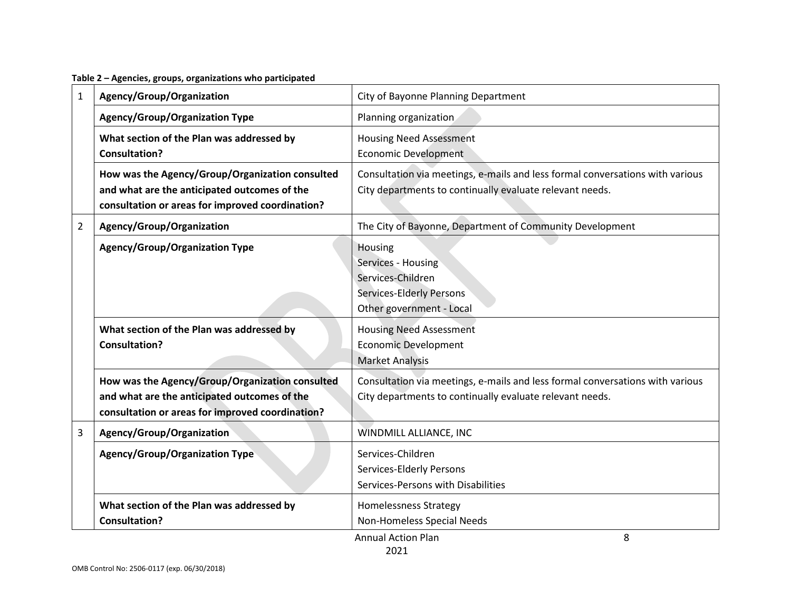**Table 2 – Agencies, groups, organizations who participated**

| $\mathbf{1}$   | Agency/Group/Organization                                                                                                                           | City of Bayonne Planning Department                                                                                                       |  |  |
|----------------|-----------------------------------------------------------------------------------------------------------------------------------------------------|-------------------------------------------------------------------------------------------------------------------------------------------|--|--|
|                | <b>Agency/Group/Organization Type</b>                                                                                                               | Planning organization                                                                                                                     |  |  |
|                | What section of the Plan was addressed by<br><b>Consultation?</b>                                                                                   | <b>Housing Need Assessment</b><br><b>Economic Development</b>                                                                             |  |  |
|                | How was the Agency/Group/Organization consulted<br>and what are the anticipated outcomes of the<br>consultation or areas for improved coordination? | Consultation via meetings, e-mails and less formal conversations with various<br>City departments to continually evaluate relevant needs. |  |  |
| $\overline{2}$ | Agency/Group/Organization                                                                                                                           | The City of Bayonne, Department of Community Development                                                                                  |  |  |
|                | <b>Agency/Group/Organization Type</b>                                                                                                               | Housing<br>Services - Housing<br>Services-Children<br>Services-Elderly Persons<br>Other government - Local                                |  |  |
|                | What section of the Plan was addressed by<br><b>Consultation?</b>                                                                                   | <b>Housing Need Assessment</b><br><b>Economic Development</b><br><b>Market Analysis</b>                                                   |  |  |
|                | How was the Agency/Group/Organization consulted<br>and what are the anticipated outcomes of the<br>consultation or areas for improved coordination? | Consultation via meetings, e-mails and less formal conversations with various<br>City departments to continually evaluate relevant needs. |  |  |
| 3              | Agency/Group/Organization                                                                                                                           | WINDMILL ALLIANCE, INC                                                                                                                    |  |  |
|                | <b>Agency/Group/Organization Type</b>                                                                                                               | Services-Children<br>Services-Elderly Persons<br>Services-Persons with Disabilities                                                       |  |  |
|                | What section of the Plan was addressed by<br><b>Consultation?</b>                                                                                   | <b>Homelessness Strategy</b><br>Non-Homeless Special Needs<br>8<br><b>Annual Action Plan</b>                                              |  |  |

Annual Action Plan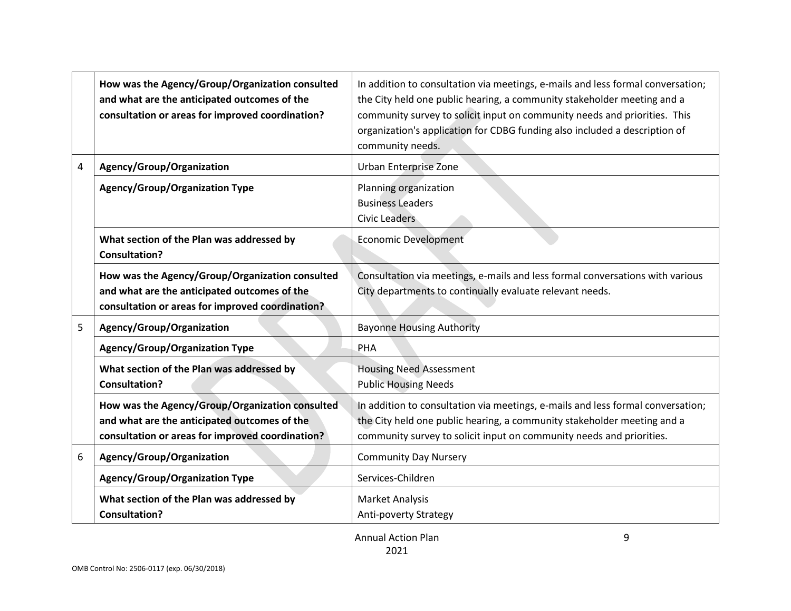|   | How was the Agency/Group/Organization consulted<br>and what are the anticipated outcomes of the<br>consultation or areas for improved coordination? | In addition to consultation via meetings, e-mails and less formal conversation;<br>the City held one public hearing, a community stakeholder meeting and a<br>community survey to solicit input on community needs and priorities. This<br>organization's application for CDBG funding also included a description of<br>community needs. |
|---|-----------------------------------------------------------------------------------------------------------------------------------------------------|-------------------------------------------------------------------------------------------------------------------------------------------------------------------------------------------------------------------------------------------------------------------------------------------------------------------------------------------|
| 4 | Agency/Group/Organization                                                                                                                           | <b>Urban Enterprise Zone</b>                                                                                                                                                                                                                                                                                                              |
|   | <b>Agency/Group/Organization Type</b>                                                                                                               | Planning organization<br><b>Business Leaders</b><br><b>Civic Leaders</b>                                                                                                                                                                                                                                                                  |
|   | What section of the Plan was addressed by<br><b>Consultation?</b>                                                                                   | <b>Economic Development</b>                                                                                                                                                                                                                                                                                                               |
|   | How was the Agency/Group/Organization consulted<br>and what are the anticipated outcomes of the<br>consultation or areas for improved coordination? | Consultation via meetings, e-mails and less formal conversations with various<br>City departments to continually evaluate relevant needs.                                                                                                                                                                                                 |
| 5 | Agency/Group/Organization                                                                                                                           | <b>Bayonne Housing Authority</b>                                                                                                                                                                                                                                                                                                          |
|   | <b>Agency/Group/Organization Type</b>                                                                                                               | PHA                                                                                                                                                                                                                                                                                                                                       |
|   | What section of the Plan was addressed by<br><b>Consultation?</b>                                                                                   | <b>Housing Need Assessment</b><br><b>Public Housing Needs</b>                                                                                                                                                                                                                                                                             |
|   | How was the Agency/Group/Organization consulted<br>and what are the anticipated outcomes of the<br>consultation or areas for improved coordination? | In addition to consultation via meetings, e-mails and less formal conversation;<br>the City held one public hearing, a community stakeholder meeting and a<br>community survey to solicit input on community needs and priorities.                                                                                                        |
| 6 | Agency/Group/Organization                                                                                                                           | <b>Community Day Nursery</b>                                                                                                                                                                                                                                                                                                              |
|   | <b>Agency/Group/Organization Type</b>                                                                                                               | Services-Children                                                                                                                                                                                                                                                                                                                         |
|   | What section of the Plan was addressed by<br><b>Consultation?</b>                                                                                   | <b>Market Analysis</b><br>Anti-poverty Strategy                                                                                                                                                                                                                                                                                           |

9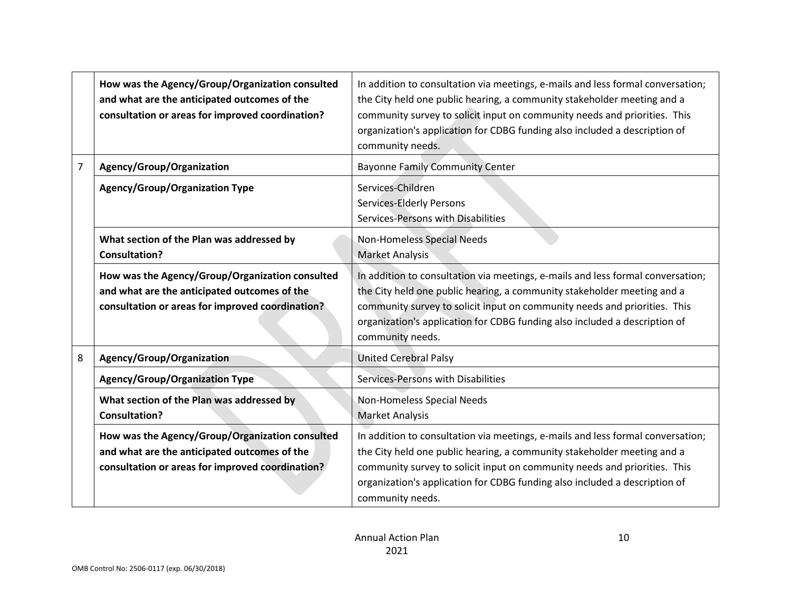|                | How was the Agency/Group/Organization consulted<br>and what are the anticipated outcomes of the<br>consultation or areas for improved coordination? | In addition to consultation via meetings, e-mails and less formal conversation;<br>the City held one public hearing, a community stakeholder meeting and a<br>community survey to solicit input on community needs and priorities. This<br>organization's application for CDBG funding also included a description of<br>community needs. |  |  |
|----------------|-----------------------------------------------------------------------------------------------------------------------------------------------------|-------------------------------------------------------------------------------------------------------------------------------------------------------------------------------------------------------------------------------------------------------------------------------------------------------------------------------------------|--|--|
| $\overline{7}$ | Agency/Group/Organization                                                                                                                           | <b>Bayonne Family Community Center</b>                                                                                                                                                                                                                                                                                                    |  |  |
|                | <b>Agency/Group/Organization Type</b>                                                                                                               | Services-Children<br><b>Services-Elderly Persons</b><br>Services-Persons with Disabilities                                                                                                                                                                                                                                                |  |  |
|                | What section of the Plan was addressed by<br><b>Consultation?</b>                                                                                   | Non-Homeless Special Needs<br>Market Analysis                                                                                                                                                                                                                                                                                             |  |  |
|                | How was the Agency/Group/Organization consulted<br>and what are the anticipated outcomes of the<br>consultation or areas for improved coordination? | In addition to consultation via meetings, e-mails and less formal conversation;<br>the City held one public hearing, a community stakeholder meeting and a<br>community survey to solicit input on community needs and priorities. This<br>organization's application for CDBG funding also included a description of<br>community needs. |  |  |
| 8              | Agency/Group/Organization                                                                                                                           | <b>United Cerebral Palsy</b>                                                                                                                                                                                                                                                                                                              |  |  |
|                | <b>Agency/Group/Organization Type</b>                                                                                                               | Services-Persons with Disabilities                                                                                                                                                                                                                                                                                                        |  |  |
|                | What section of the Plan was addressed by<br><b>Consultation?</b>                                                                                   | Non-Homeless Special Needs<br><b>Market Analysis</b>                                                                                                                                                                                                                                                                                      |  |  |
|                | How was the Agency/Group/Organization consulted<br>and what are the anticipated outcomes of the<br>consultation or areas for improved coordination? | In addition to consultation via meetings, e-mails and less formal conversation;<br>the City held one public hearing, a community stakeholder meeting and a<br>community survey to solicit input on community needs and priorities. This<br>organization's application for CDBG funding also included a description of<br>community needs. |  |  |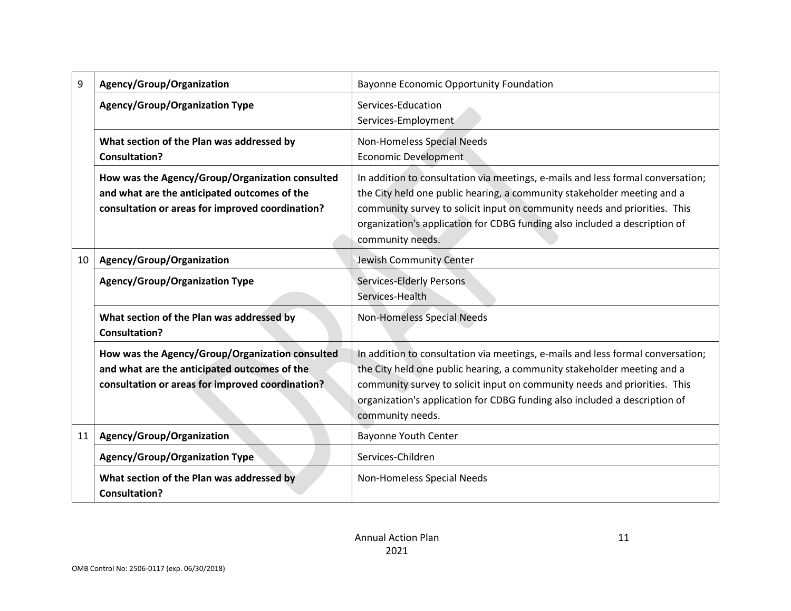| 9  | Agency/Group/Organization                                                                                                                           | Bayonne Economic Opportunity Foundation                                                                                                                                                                                                                                                                                                   |
|----|-----------------------------------------------------------------------------------------------------------------------------------------------------|-------------------------------------------------------------------------------------------------------------------------------------------------------------------------------------------------------------------------------------------------------------------------------------------------------------------------------------------|
|    | <b>Agency/Group/Organization Type</b>                                                                                                               | Services-Education<br>Services-Employment                                                                                                                                                                                                                                                                                                 |
|    | What section of the Plan was addressed by<br><b>Consultation?</b>                                                                                   | Non-Homeless Special Needs<br><b>Economic Development</b>                                                                                                                                                                                                                                                                                 |
|    | How was the Agency/Group/Organization consulted<br>and what are the anticipated outcomes of the<br>consultation or areas for improved coordination? | In addition to consultation via meetings, e-mails and less formal conversation;<br>the City held one public hearing, a community stakeholder meeting and a<br>community survey to solicit input on community needs and priorities. This<br>organization's application for CDBG funding also included a description of<br>community needs. |
| 10 | Agency/Group/Organization                                                                                                                           | Jewish Community Center                                                                                                                                                                                                                                                                                                                   |
|    | <b>Agency/Group/Organization Type</b>                                                                                                               | <b>Services-Elderly Persons</b><br>Services-Health                                                                                                                                                                                                                                                                                        |
|    | What section of the Plan was addressed by<br><b>Consultation?</b>                                                                                   | Non-Homeless Special Needs                                                                                                                                                                                                                                                                                                                |
|    | How was the Agency/Group/Organization consulted<br>and what are the anticipated outcomes of the<br>consultation or areas for improved coordination? | In addition to consultation via meetings, e-mails and less formal conversation;<br>the City held one public hearing, a community stakeholder meeting and a<br>community survey to solicit input on community needs and priorities. This<br>organization's application for CDBG funding also included a description of<br>community needs. |
| 11 | Agency/Group/Organization                                                                                                                           | <b>Bayonne Youth Center</b>                                                                                                                                                                                                                                                                                                               |
|    | <b>Agency/Group/Organization Type</b>                                                                                                               | Services-Children                                                                                                                                                                                                                                                                                                                         |
|    | What section of the Plan was addressed by<br><b>Consultation?</b>                                                                                   | Non-Homeless Special Needs                                                                                                                                                                                                                                                                                                                |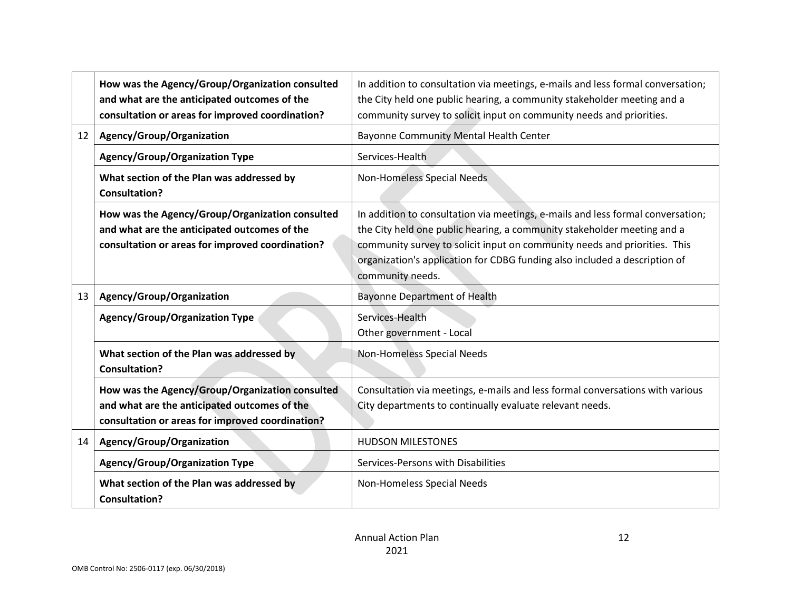|                 | How was the Agency/Group/Organization consulted<br>and what are the anticipated outcomes of the<br>consultation or areas for improved coordination? | In addition to consultation via meetings, e-mails and less formal conversation;<br>the City held one public hearing, a community stakeholder meeting and a<br>community survey to solicit input on community needs and priorities.                                                                                                        |
|-----------------|-----------------------------------------------------------------------------------------------------------------------------------------------------|-------------------------------------------------------------------------------------------------------------------------------------------------------------------------------------------------------------------------------------------------------------------------------------------------------------------------------------------|
| 12 <sup>1</sup> | Agency/Group/Organization                                                                                                                           | Bayonne Community Mental Health Center                                                                                                                                                                                                                                                                                                    |
|                 | <b>Agency/Group/Organization Type</b>                                                                                                               | Services-Health                                                                                                                                                                                                                                                                                                                           |
|                 | What section of the Plan was addressed by<br><b>Consultation?</b>                                                                                   | Non-Homeless Special Needs                                                                                                                                                                                                                                                                                                                |
|                 | How was the Agency/Group/Organization consulted<br>and what are the anticipated outcomes of the<br>consultation or areas for improved coordination? | In addition to consultation via meetings, e-mails and less formal conversation;<br>the City held one public hearing, a community stakeholder meeting and a<br>community survey to solicit input on community needs and priorities. This<br>organization's application for CDBG funding also included a description of<br>community needs. |
| 13              | Agency/Group/Organization                                                                                                                           | <b>Bayonne Department of Health</b>                                                                                                                                                                                                                                                                                                       |
|                 | <b>Agency/Group/Organization Type</b>                                                                                                               | Services-Health<br>Other government - Local                                                                                                                                                                                                                                                                                               |
|                 | What section of the Plan was addressed by<br><b>Consultation?</b>                                                                                   | Non-Homeless Special Needs                                                                                                                                                                                                                                                                                                                |
|                 | How was the Agency/Group/Organization consulted<br>and what are the anticipated outcomes of the<br>consultation or areas for improved coordination? | Consultation via meetings, e-mails and less formal conversations with various<br>City departments to continually evaluate relevant needs.                                                                                                                                                                                                 |
| 14              | Agency/Group/Organization                                                                                                                           | <b>HUDSON MILESTONES</b>                                                                                                                                                                                                                                                                                                                  |
|                 | <b>Agency/Group/Organization Type</b>                                                                                                               | Services-Persons with Disabilities                                                                                                                                                                                                                                                                                                        |
|                 | What section of the Plan was addressed by<br><b>Consultation?</b>                                                                                   | Non-Homeless Special Needs                                                                                                                                                                                                                                                                                                                |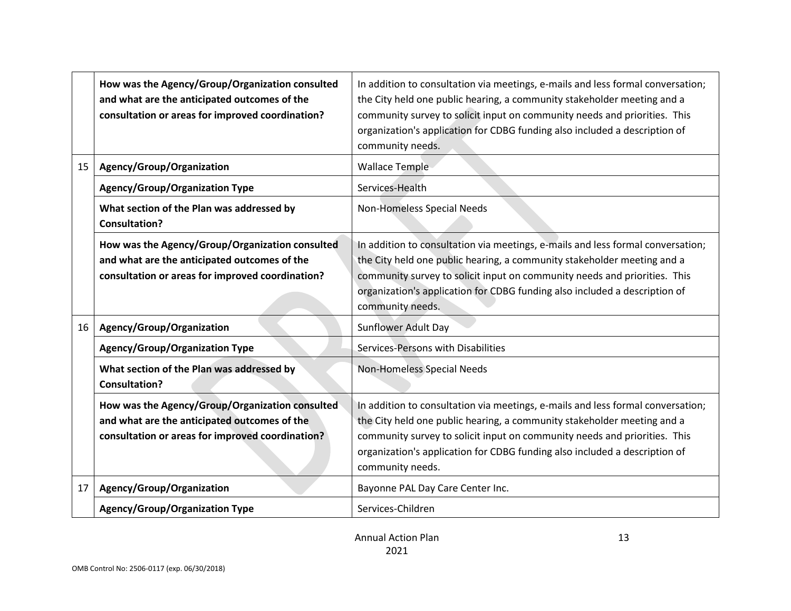|                 | How was the Agency/Group/Organization consulted<br>and what are the anticipated outcomes of the<br>consultation or areas for improved coordination? | In addition to consultation via meetings, e-mails and less formal conversation;<br>the City held one public hearing, a community stakeholder meeting and a<br>community survey to solicit input on community needs and priorities. This<br>organization's application for CDBG funding also included a description of<br>community needs. |
|-----------------|-----------------------------------------------------------------------------------------------------------------------------------------------------|-------------------------------------------------------------------------------------------------------------------------------------------------------------------------------------------------------------------------------------------------------------------------------------------------------------------------------------------|
| 15              | Agency/Group/Organization                                                                                                                           | <b>Wallace Temple</b>                                                                                                                                                                                                                                                                                                                     |
|                 | <b>Agency/Group/Organization Type</b>                                                                                                               | Services-Health                                                                                                                                                                                                                                                                                                                           |
|                 | What section of the Plan was addressed by<br><b>Consultation?</b>                                                                                   | Non-Homeless Special Needs                                                                                                                                                                                                                                                                                                                |
|                 | How was the Agency/Group/Organization consulted<br>and what are the anticipated outcomes of the<br>consultation or areas for improved coordination? | In addition to consultation via meetings, e-mails and less formal conversation;<br>the City held one public hearing, a community stakeholder meeting and a<br>community survey to solicit input on community needs and priorities. This<br>organization's application for CDBG funding also included a description of<br>community needs. |
| 16 <sup>1</sup> | Agency/Group/Organization                                                                                                                           | Sunflower Adult Day                                                                                                                                                                                                                                                                                                                       |
|                 | <b>Agency/Group/Organization Type</b>                                                                                                               | Services-Persons with Disabilities                                                                                                                                                                                                                                                                                                        |
|                 | What section of the Plan was addressed by<br><b>Consultation?</b>                                                                                   | Non-Homeless Special Needs                                                                                                                                                                                                                                                                                                                |
|                 | How was the Agency/Group/Organization consulted<br>and what are the anticipated outcomes of the<br>consultation or areas for improved coordination? | In addition to consultation via meetings, e-mails and less formal conversation;<br>the City held one public hearing, a community stakeholder meeting and a<br>community survey to solicit input on community needs and priorities. This<br>organization's application for CDBG funding also included a description of<br>community needs. |
| 17              | Agency/Group/Organization                                                                                                                           | Bayonne PAL Day Care Center Inc.                                                                                                                                                                                                                                                                                                          |
|                 | <b>Agency/Group/Organization Type</b>                                                                                                               | Services-Children                                                                                                                                                                                                                                                                                                                         |

13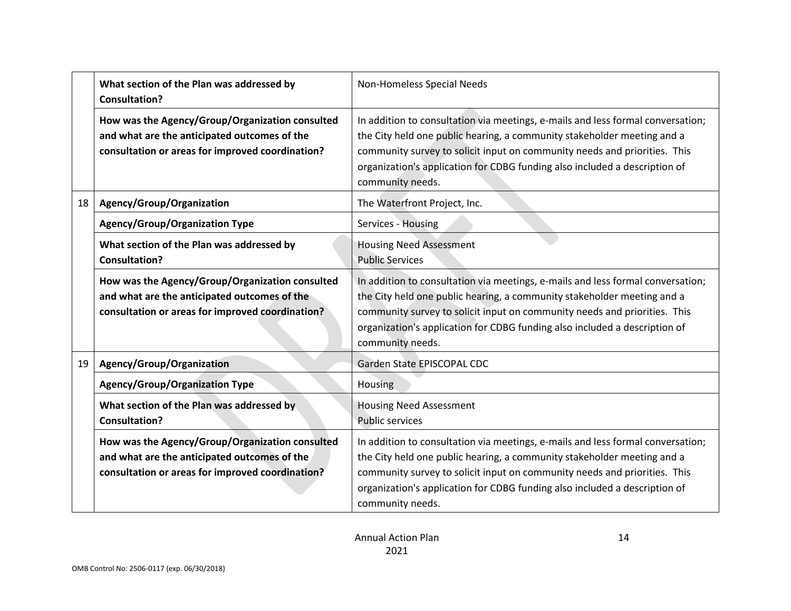|    | What section of the Plan was addressed by<br><b>Consultation?</b>                                                                                   | Non-Homeless Special Needs                                                                                                                                                                                                                                                                                                                |
|----|-----------------------------------------------------------------------------------------------------------------------------------------------------|-------------------------------------------------------------------------------------------------------------------------------------------------------------------------------------------------------------------------------------------------------------------------------------------------------------------------------------------|
|    | How was the Agency/Group/Organization consulted<br>and what are the anticipated outcomes of the<br>consultation or areas for improved coordination? | In addition to consultation via meetings, e-mails and less formal conversation;<br>the City held one public hearing, a community stakeholder meeting and a<br>community survey to solicit input on community needs and priorities. This<br>organization's application for CDBG funding also included a description of<br>community needs. |
| 18 | Agency/Group/Organization                                                                                                                           | The Waterfront Project, Inc.                                                                                                                                                                                                                                                                                                              |
|    | <b>Agency/Group/Organization Type</b>                                                                                                               | Services - Housing                                                                                                                                                                                                                                                                                                                        |
|    | What section of the Plan was addressed by<br><b>Consultation?</b>                                                                                   | <b>Housing Need Assessment</b><br><b>Public Services</b>                                                                                                                                                                                                                                                                                  |
|    | How was the Agency/Group/Organization consulted<br>and what are the anticipated outcomes of the<br>consultation or areas for improved coordination? | In addition to consultation via meetings, e-mails and less formal conversation;<br>the City held one public hearing, a community stakeholder meeting and a<br>community survey to solicit input on community needs and priorities. This<br>organization's application for CDBG funding also included a description of<br>community needs. |
| 19 | Agency/Group/Organization                                                                                                                           | Garden State EPISCOPAL CDC                                                                                                                                                                                                                                                                                                                |
|    | <b>Agency/Group/Organization Type</b>                                                                                                               | <b>Housing</b>                                                                                                                                                                                                                                                                                                                            |
|    | What section of the Plan was addressed by<br><b>Consultation?</b>                                                                                   | <b>Housing Need Assessment</b><br><b>Public services</b>                                                                                                                                                                                                                                                                                  |
|    | How was the Agency/Group/Organization consulted<br>and what are the anticipated outcomes of the<br>consultation or areas for improved coordination? | In addition to consultation via meetings, e-mails and less formal conversation;<br>the City held one public hearing, a community stakeholder meeting and a<br>community survey to solicit input on community needs and priorities. This<br>organization's application for CDBG funding also included a description of<br>community needs. |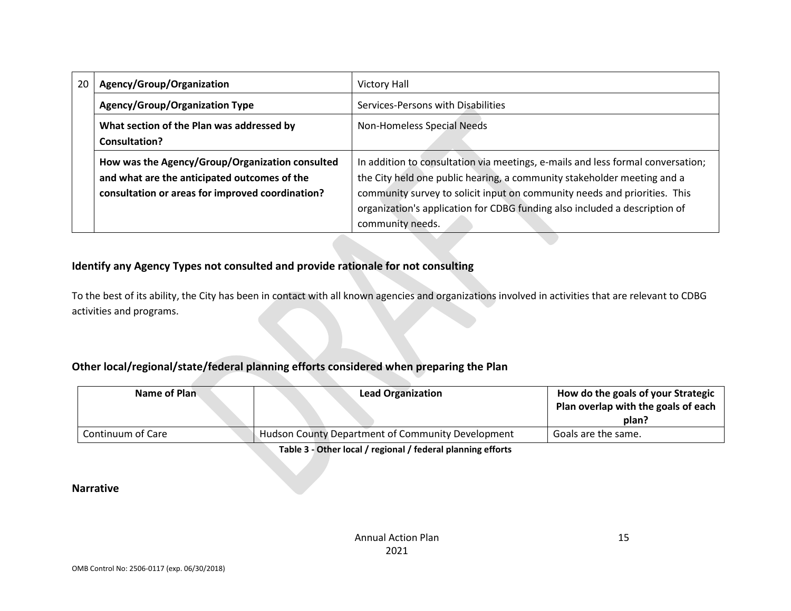| 20 | Agency/Group/Organization                                  | <b>Victory Hall</b>                                                             |  |  |
|----|------------------------------------------------------------|---------------------------------------------------------------------------------|--|--|
|    | <b>Agency/Group/Organization Type</b>                      | Services-Persons with Disabilities                                              |  |  |
|    | What section of the Plan was addressed by<br>Consultation? | Non-Homeless Special Needs                                                      |  |  |
|    |                                                            |                                                                                 |  |  |
|    | How was the Agency/Group/Organization consulted            | In addition to consultation via meetings, e-mails and less formal conversation; |  |  |
|    | and what are the anticipated outcomes of the               | the City held one public hearing, a community stakeholder meeting and a         |  |  |
|    | consultation or areas for improved coordination?           | community survey to solicit input on community needs and priorities. This       |  |  |
|    |                                                            | organization's application for CDBG funding also included a description of      |  |  |
|    |                                                            | community needs.                                                                |  |  |

## **Identify any Agency Types not consulted and provide rationale for not consulting**

To the best of its ability, the City has been in contact with all known agencies and organizations involved in activities that are relevant to CDBG activities and programs.

## **Other local/regional/state/federal planning efforts considered when preparing the Plan**

| Name of Plan      | <b>Lead Organization</b>                                 | How do the goals of your Strategic<br>Plan overlap with the goals of each |
|-------------------|----------------------------------------------------------|---------------------------------------------------------------------------|
|                   |                                                          | plan?                                                                     |
| Continuum of Care | <b>Hudson County Department of Community Development</b> | Goals are the same.                                                       |
|                   |                                                          |                                                                           |

**Table 3 - Other local / regional / federal planning efforts**

#### **Narrative**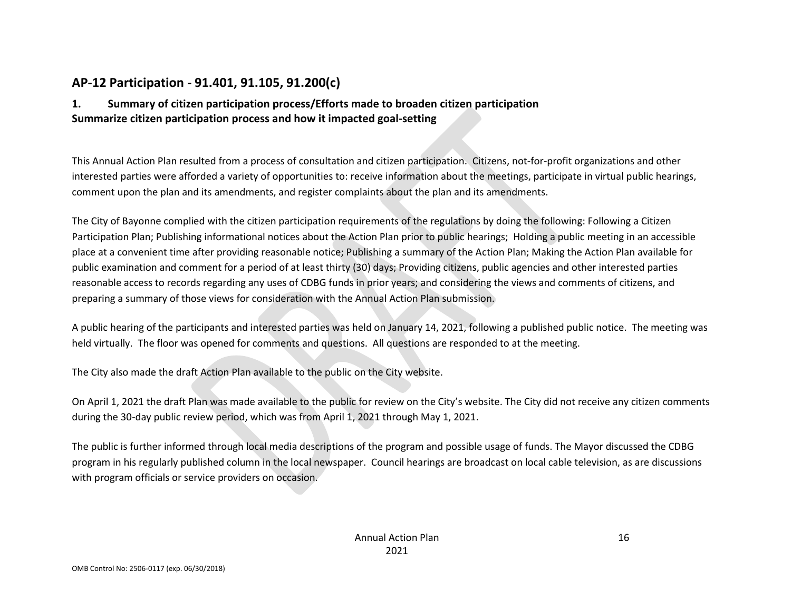# **AP-12 Participation - 91.401, 91.105, 91.200(c)**

## **1. Summary of citizen participation process/Efforts made to broaden citizen participation Summarize citizen participation process and how it impacted goal-setting**

This Annual Action Plan resulted from a process of consultation and citizen participation. Citizens, not-for-profit organizations and other interested parties were afforded a variety of opportunities to: receive information about the meetings, participate in virtual public hearings, comment upon the plan and its amendments, and register complaints about the plan and its amendments.

The City of Bayonne complied with the citizen participation requirements of the regulations by doing the following: Following a Citizen Participation Plan; Publishing informational notices about the Action Plan prior to public hearings; Holding a public meeting in an accessible place at a convenient time after providing reasonable notice; Publishing a summary of the Action Plan; Making the Action Plan available for public examination and comment for a period of at least thirty (30) days; Providing citizens, public agencies and other interested parties reasonable access to records regarding any uses of CDBG funds in prior years; and considering the views and comments of citizens, and preparing a summary of those views for consideration with the Annual Action Plan submission.

A public hearing of the participants and interested parties was held on January 14, 2021, following a published public notice. The meeting was held virtually. The floor was opened for comments and questions. All questions are responded to at the meeting.

The City also made the draft Action Plan available to the public on the City website.

On April 1, 2021 the draft Plan was made available to the public for review on the City's website. The City did not receive any citizen comments during the 30-day public review period, which was from April 1, 2021 through May 1, 2021.

The public is further informed through local media descriptions of the program and possible usage of funds. The Mayor discussed the CDBG program in his regularly published column in the local newspaper. Council hearings are broadcast on local cable television, as are discussions with program officials or service providers on occasion.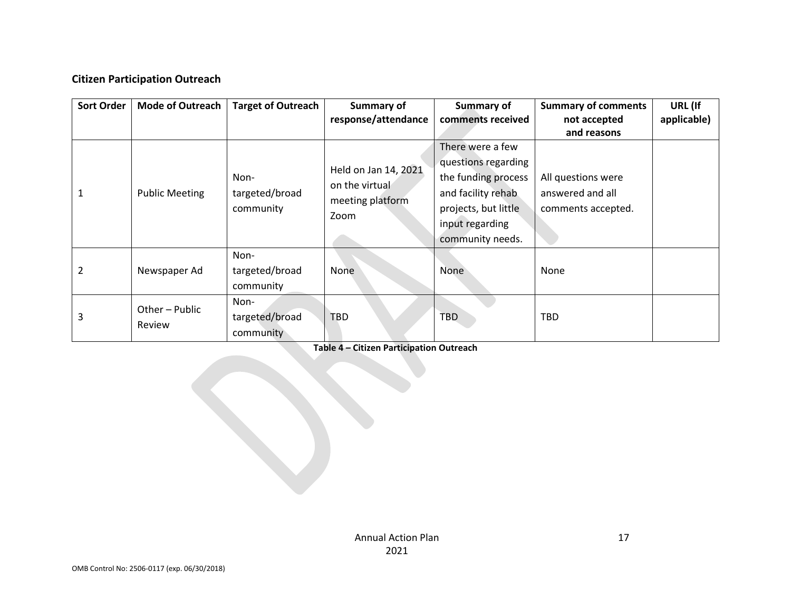## **Citizen Participation Outreach**

| <b>Sort Order</b> | <b>Mode of Outreach</b> | <b>Target of Outreach</b>   | <b>Summary of</b>    | Summary of           | <b>Summary of comments</b> | URL (If     |
|-------------------|-------------------------|-----------------------------|----------------------|----------------------|----------------------------|-------------|
|                   |                         |                             | response/attendance  | comments received    | not accepted               | applicable) |
|                   |                         |                             |                      |                      | and reasons                |             |
|                   |                         |                             |                      | There were a few     |                            |             |
|                   |                         |                             | Held on Jan 14, 2021 | questions regarding  |                            |             |
|                   |                         | Non-                        | on the virtual       | the funding process  | All questions were         |             |
|                   | <b>Public Meeting</b>   | targeted/broad<br>community |                      | and facility rehab   | answered and all           |             |
|                   |                         |                             | meeting platform     | projects, but little | comments accepted.         |             |
|                   |                         |                             | Zoom                 | input regarding      |                            |             |
|                   |                         |                             |                      | community needs.     |                            |             |
|                   |                         | Non-                        |                      |                      |                            |             |
| 2                 | Newspaper Ad            | targeted/broad              | None                 | None                 | None                       |             |
|                   |                         | community                   |                      |                      |                            |             |
|                   |                         | Non-                        |                      |                      |                            |             |
| 3                 | Other - Public          | targeted/broad              | <b>TBD</b>           | <b>TBD</b>           | <b>TBD</b>                 |             |
|                   | Review                  | community                   |                      |                      |                            |             |

**Table 4 – Citizen Participation Outreach**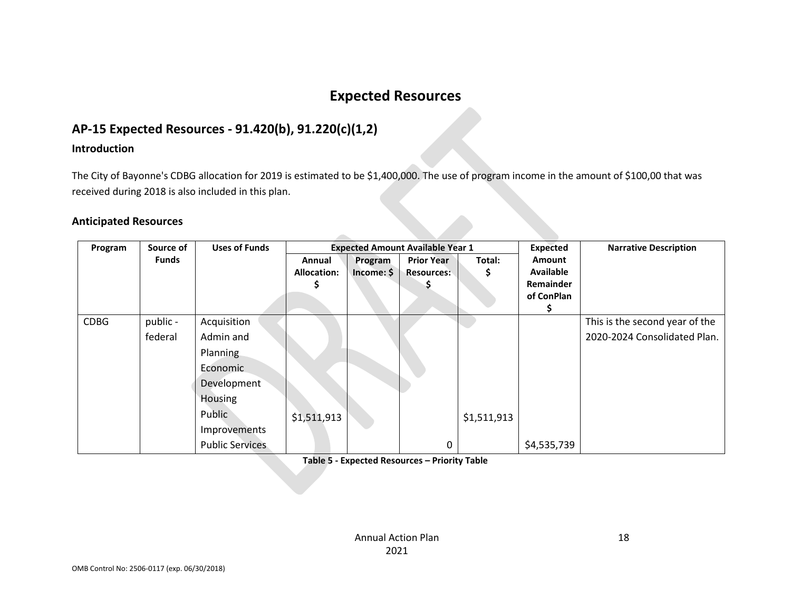# **Expected Resources**

# **AP-15 Expected Resources - 91.420(b), 91.220(c)(1,2)**

#### **Introduction**

The City of Bayonne's CDBG allocation for 2019 is estimated to be \$1,400,000. The use of program income in the amount of \$100,00 that was received during 2018 is also included in this plan.

**COLLEGE** 

#### **Anticipated Resources**

| Program     | Source of    | <b>Uses of Funds</b>   | <b>Expected Amount Available Year 1</b> |            |                   | <b>Expected</b> | <b>Narrative Description</b> |                                |
|-------------|--------------|------------------------|-----------------------------------------|------------|-------------------|-----------------|------------------------------|--------------------------------|
|             | <b>Funds</b> |                        | Annual                                  | Program    | <b>Prior Year</b> | Total:          | <b>Amount</b>                |                                |
|             |              |                        | <b>Allocation:</b>                      | Income: \$ | <b>Resources:</b> | Ş               | <b>Available</b>             |                                |
|             |              |                        |                                         |            |                   |                 | <b>Remainder</b>             |                                |
|             |              |                        |                                         |            |                   |                 | of ConPlan                   |                                |
|             |              |                        |                                         |            |                   |                 |                              |                                |
| <b>CDBG</b> | public -     | Acquisition            |                                         |            |                   |                 |                              | This is the second year of the |
|             | federal      | Admin and              |                                         |            |                   |                 |                              | 2020-2024 Consolidated Plan.   |
|             |              | Planning               |                                         |            |                   |                 |                              |                                |
|             |              | Economic               |                                         |            |                   |                 |                              |                                |
|             |              | Development            |                                         |            |                   |                 |                              |                                |
|             |              | Housing                |                                         |            |                   |                 |                              |                                |
|             |              | Public                 | \$1,511,913                             |            |                   | \$1,511,913     |                              |                                |
|             |              | Improvements           |                                         |            |                   |                 |                              |                                |
|             |              | <b>Public Services</b> |                                         |            | 0                 |                 | \$4,535,739                  |                                |

**Table 5 - Expected Resources – Priority Table**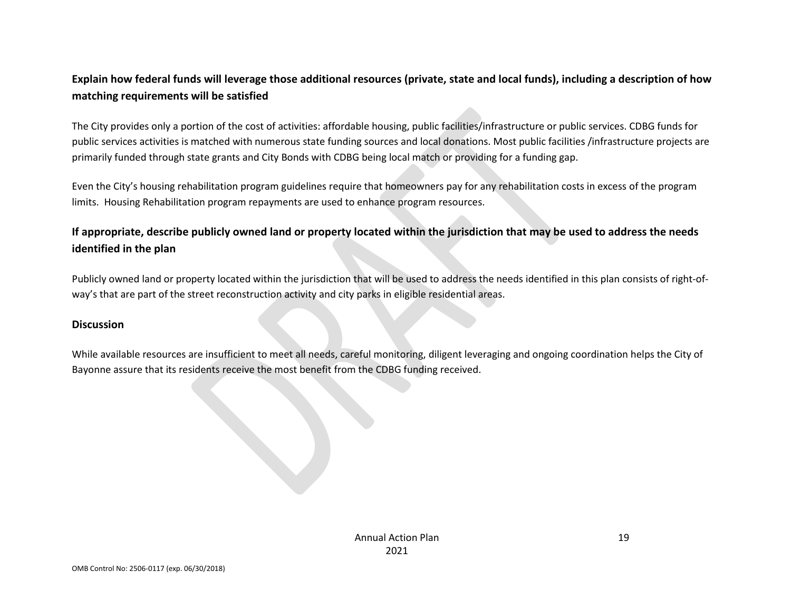## **Explain how federal funds will leverage those additional resources (private, state and local funds), including a description of how matching requirements will be satisfied**

The City provides only a portion of the cost of activities: affordable housing, public facilities/infrastructure or public services. CDBG funds for public services activities is matched with numerous state funding sources and local donations. Most public facilities /infrastructure projects are primarily funded through state grants and City Bonds with CDBG being local match or providing for a funding gap.

Even the City's housing rehabilitation program guidelines require that homeowners pay for any rehabilitation costs in excess of the program limits. Housing Rehabilitation program repayments are used to enhance program resources.

## **If appropriate, describe publicly owned land or property located within the jurisdiction that may be used to address the needs identified in the plan**

Publicly owned land or property located within the jurisdiction that will be used to address the needs identified in this plan consists of right-ofway's that are part of the street reconstruction activity and city parks in eligible residential areas.

#### **Discussion**

While available resources are insufficient to meet all needs, careful monitoring, diligent leveraging and ongoing coordination helps the City of Bayonne assure that its residents receive the most benefit from the CDBG funding received.

> Annual Action Plan 2021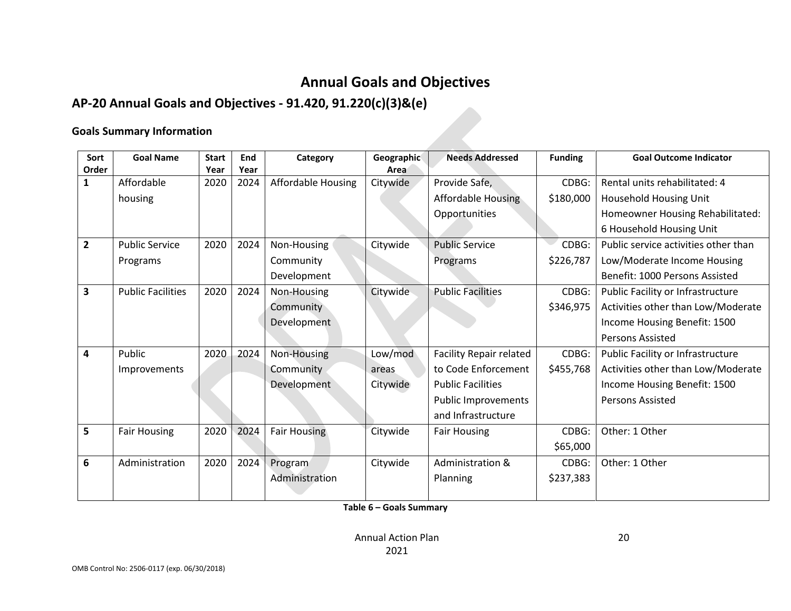# **Annual Goals and Objectives**

# **AP-20 Annual Goals and Objectives - 91.420, 91.220(c)(3)&(e)**

#### **Goals Summary Information**

| Sort           | <b>Goal Name</b>         | <b>Start</b> | End  | Category                  | Geographic | <b>Needs Addressed</b>         | <b>Funding</b> | <b>Goal Outcome Indicator</b>        |
|----------------|--------------------------|--------------|------|---------------------------|------------|--------------------------------|----------------|--------------------------------------|
| Order          |                          | Year         | Year |                           | Area       |                                |                |                                      |
| 1              | Affordable               | 2020         | 2024 | <b>Affordable Housing</b> | Citywide   | Provide Safe,                  | CDBG:          | Rental units rehabilitated: 4        |
|                | housing                  |              |      |                           |            | <b>Affordable Housing</b>      | \$180,000      | Household Housing Unit               |
|                |                          |              |      |                           |            | Opportunities                  |                | Homeowner Housing Rehabilitated:     |
|                |                          |              |      |                           |            |                                |                | 6 Household Housing Unit             |
| $\overline{2}$ | <b>Public Service</b>    | 2020         | 2024 | Non-Housing               | Citywide   | <b>Public Service</b>          | CDBG:          | Public service activities other than |
|                | Programs                 |              |      | Community                 |            | Programs                       | \$226,787      | Low/Moderate Income Housing          |
|                |                          |              |      | Development               |            |                                |                | Benefit: 1000 Persons Assisted       |
| 3              | <b>Public Facilities</b> | 2020         | 2024 | Non-Housing               | Citywide   | <b>Public Facilities</b>       | CDBG:          | Public Facility or Infrastructure    |
|                |                          |              |      | Community                 |            |                                | \$346,975      | Activities other than Low/Moderate   |
|                |                          |              |      | Development               |            |                                |                | Income Housing Benefit: 1500         |
|                |                          |              |      |                           |            |                                |                | <b>Persons Assisted</b>              |
| 4              | Public                   | 2020         | 2024 | Non-Housing               | Low/mod    | <b>Facility Repair related</b> | CDBG:          | Public Facility or Infrastructure    |
|                | Improvements             |              |      | Community                 | areas      | to Code Enforcement            | \$455,768      | Activities other than Low/Moderate   |
|                |                          |              |      | Development               | Citywide   | <b>Public Facilities</b>       |                | Income Housing Benefit: 1500         |
|                |                          |              |      |                           |            | <b>Public Improvements</b>     |                | Persons Assisted                     |
|                |                          |              |      |                           |            | and Infrastructure             |                |                                      |
| 5              | <b>Fair Housing</b>      | 2020         | 2024 | <b>Fair Housing</b>       | Citywide   | <b>Fair Housing</b>            | CDBG:          | Other: 1 Other                       |
|                |                          |              |      |                           |            |                                | \$65,000       |                                      |
| 6              | Administration           | 2020         | 2024 | Program                   | Citywide   | Administration &               | CDBG:          | Other: 1 Other                       |
|                |                          |              |      | Administration            |            | Planning                       | \$237,383      |                                      |

**Table 6 – Goals Summary**

Annual Action Plan 2021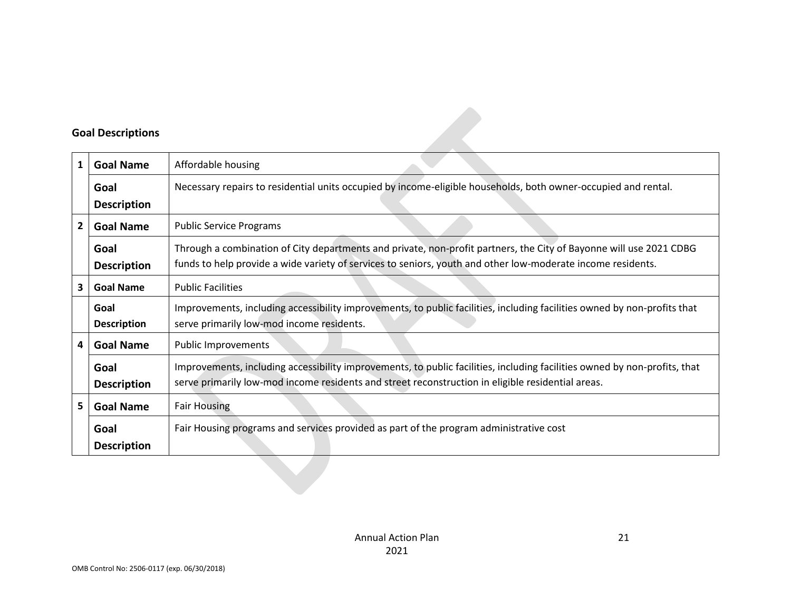## **Goal Descriptions**

|   | <b>Goal Descriptions</b>   |                                                                                                                                                                                                                                   |
|---|----------------------------|-----------------------------------------------------------------------------------------------------------------------------------------------------------------------------------------------------------------------------------|
| 1 | <b>Goal Name</b>           | Affordable housing                                                                                                                                                                                                                |
|   | Goal<br><b>Description</b> | Necessary repairs to residential units occupied by income-eligible households, both owner-occupied and rental.                                                                                                                    |
| 2 | <b>Goal Name</b>           | <b>Public Service Programs</b>                                                                                                                                                                                                    |
|   | Goal<br><b>Description</b> | Through a combination of City departments and private, non-profit partners, the City of Bayonne will use 2021 CDBG<br>funds to help provide a wide variety of services to seniors, youth and other low-moderate income residents. |
| 3 | <b>Goal Name</b>           | <b>Public Facilities</b>                                                                                                                                                                                                          |
|   | Goal<br><b>Description</b> | Improvements, including accessibility improvements, to public facilities, including facilities owned by non-profits that<br>serve primarily low-mod income residents.                                                             |
| 4 | <b>Goal Name</b>           | <b>Public Improvements</b>                                                                                                                                                                                                        |
|   | Goal<br><b>Description</b> | Improvements, including accessibility improvements, to public facilities, including facilities owned by non-profits, that<br>serve primarily low-mod income residents and street reconstruction in eligible residential areas.    |
| 5 | <b>Goal Name</b>           | <b>Fair Housing</b>                                                                                                                                                                                                               |
|   | Goal<br><b>Description</b> | Fair Housing programs and services provided as part of the program administrative cost                                                                                                                                            |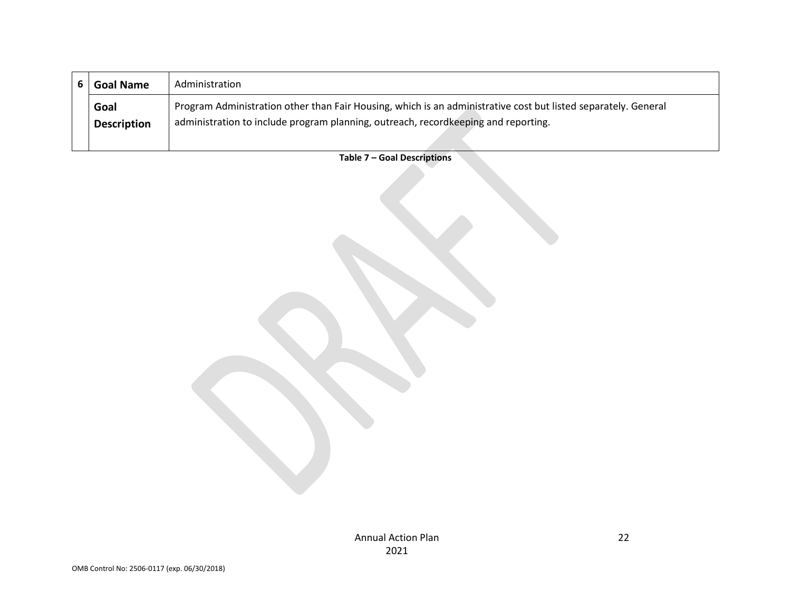| <b>Goal Name</b>           | Administration                                                                                                                                                                                       |
|----------------------------|------------------------------------------------------------------------------------------------------------------------------------------------------------------------------------------------------|
| Goal<br><b>Description</b> | Program Administration other than Fair Housing, which is an administrative cost but listed separately. General<br>administration to include program planning, outreach, recordkeeping and reporting. |

**Table 7 – Goal Descriptions**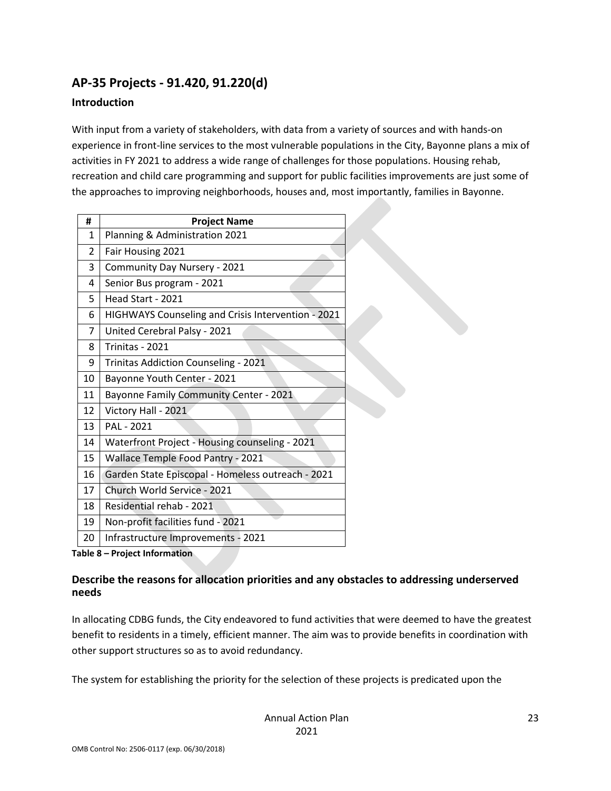# **AP-35 Projects - 91.420, 91.220(d)**

### **Introduction**

With input from a variety of stakeholders, with data from a variety of sources and with hands-on experience in front-line services to the most vulnerable populations in the City, Bayonne plans a mix of activities in FY 2021 to address a wide range of challenges for those populations. Housing rehab, recreation and child care programming and support for public facilities improvements are just some of the approaches to improving neighborhoods, houses and, most importantly, families in Bayonne.

| #  | <b>Project Name</b>                                |
|----|----------------------------------------------------|
| 1  | Planning & Administration 2021                     |
| 2  | Fair Housing 2021                                  |
| 3  | Community Day Nursery - 2021                       |
| 4  | Senior Bus program - 2021                          |
| 5  | Head Start - 2021                                  |
| 6  | HIGHWAYS Counseling and Crisis Intervention - 2021 |
| 7  | United Cerebral Palsy - 2021                       |
| 8  | Trinitas - 2021                                    |
| 9  | Trinitas Addiction Counseling - 2021               |
| 10 | Bayonne Youth Center - 2021                        |
| 11 | Bayonne Family Community Center - 2021             |
| 12 | Victory Hall - 2021                                |
| 13 | PAL - 2021                                         |
| 14 | Waterfront Project - Housing counseling - 2021     |
| 15 | Wallace Temple Food Pantry - 2021                  |
| 16 | Garden State Episcopal - Homeless outreach - 2021  |
| 17 | Church World Service - 2021                        |
| 18 | Residential rehab - 2021                           |
| 19 | Non-profit facilities fund - 2021                  |
| 20 | Infrastructure Improvements - 2021                 |

**Table 8 – Project Information**

### **Describe the reasons for allocation priorities and any obstacles to addressing underserved needs**

In allocating CDBG funds, the City endeavored to fund activities that were deemed to have the greatest benefit to residents in a timely, efficient manner. The aim was to provide benefits in coordination with other support structures so as to avoid redundancy.

The system for establishing the priority for the selection of these projects is predicated upon the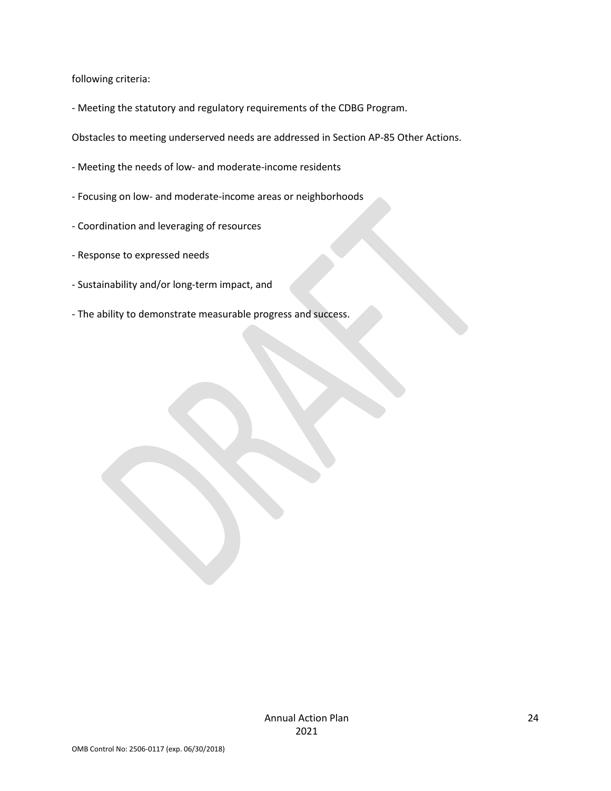following criteria:

- Meeting the statutory and regulatory requirements of the CDBG Program.

Obstacles to meeting underserved needs are addressed in Section AP-85 Other Actions.

- Meeting the needs of low- and moderate-income residents
- Focusing on low- and moderate-income areas or neighborhoods
- Coordination and leveraging of resources
- Response to expressed needs
- Sustainability and/or long-term impact, and
- The ability to demonstrate measurable progress and success.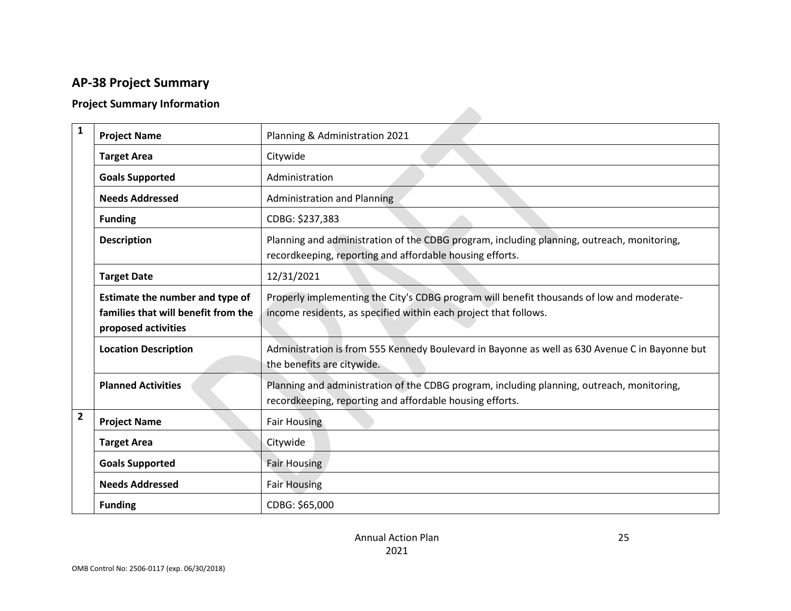# **AP-38 Project Summary**

## **Project Summary Information**

| $\mathbf{1}$   | <b>Project Name</b>                                                                           | Planning & Administration 2021                                                                                                                                |
|----------------|-----------------------------------------------------------------------------------------------|---------------------------------------------------------------------------------------------------------------------------------------------------------------|
|                | <b>Target Area</b>                                                                            | Citywide                                                                                                                                                      |
|                | <b>Goals Supported</b>                                                                        | Administration                                                                                                                                                |
|                | <b>Needs Addressed</b>                                                                        | <b>Administration and Planning</b>                                                                                                                            |
|                | <b>Funding</b>                                                                                | CDBG: \$237,383                                                                                                                                               |
|                | <b>Description</b>                                                                            | Planning and administration of the CDBG program, including planning, outreach, monitoring,<br>recordkeeping, reporting and affordable housing efforts.        |
|                | <b>Target Date</b>                                                                            | 12/31/2021                                                                                                                                                    |
|                | Estimate the number and type of<br>families that will benefit from the<br>proposed activities | Properly implementing the City's CDBG program will benefit thousands of low and moderate-<br>income residents, as specified within each project that follows. |
|                | <b>Location Description</b>                                                                   | Administration is from 555 Kennedy Boulevard in Bayonne as well as 630 Avenue C in Bayonne but<br>the benefits are citywide.                                  |
|                | <b>Planned Activities</b>                                                                     | Planning and administration of the CDBG program, including planning, outreach, monitoring,<br>recordkeeping, reporting and affordable housing efforts.        |
| $\overline{2}$ | <b>Project Name</b>                                                                           | <b>Fair Housing</b>                                                                                                                                           |
|                | <b>Target Area</b>                                                                            | Citywide                                                                                                                                                      |
|                | <b>Goals Supported</b>                                                                        | <b>Fair Housing</b>                                                                                                                                           |
|                | <b>Needs Addressed</b>                                                                        | <b>Fair Housing</b>                                                                                                                                           |
|                | <b>Funding</b>                                                                                | CDBG: \$65,000                                                                                                                                                |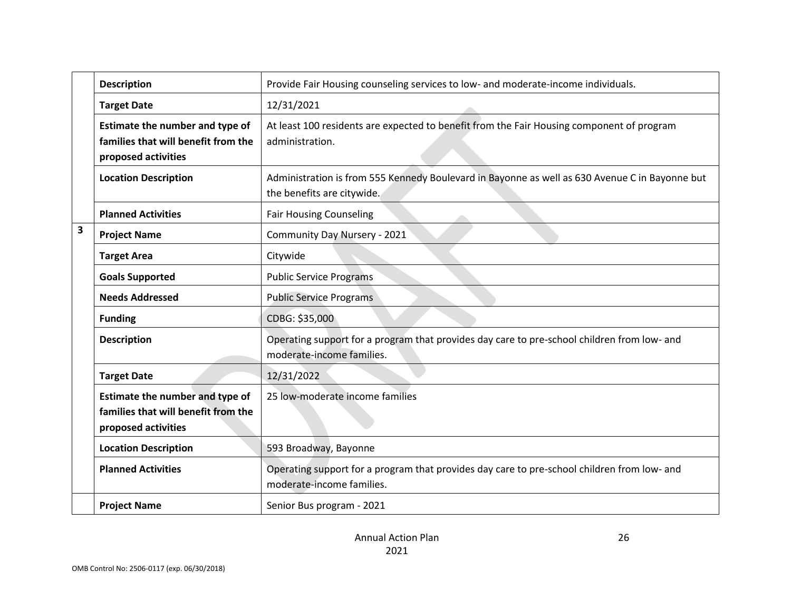|   | <b>Description</b>                                                                            | Provide Fair Housing counseling services to low- and moderate-income individuals.                                            |
|---|-----------------------------------------------------------------------------------------------|------------------------------------------------------------------------------------------------------------------------------|
|   | <b>Target Date</b>                                                                            | 12/31/2021                                                                                                                   |
|   | Estimate the number and type of<br>families that will benefit from the<br>proposed activities | At least 100 residents are expected to benefit from the Fair Housing component of program<br>administration.                 |
|   | <b>Location Description</b>                                                                   | Administration is from 555 Kennedy Boulevard in Bayonne as well as 630 Avenue C in Bayonne but<br>the benefits are citywide. |
|   | <b>Planned Activities</b>                                                                     | <b>Fair Housing Counseling</b>                                                                                               |
| 3 | <b>Project Name</b>                                                                           | Community Day Nursery - 2021                                                                                                 |
|   | <b>Target Area</b>                                                                            | Citywide                                                                                                                     |
|   | <b>Goals Supported</b>                                                                        | <b>Public Service Programs</b>                                                                                               |
|   | <b>Needs Addressed</b>                                                                        | <b>Public Service Programs</b>                                                                                               |
|   | <b>Funding</b>                                                                                | CDBG: \$35,000                                                                                                               |
|   | <b>Description</b>                                                                            | Operating support for a program that provides day care to pre-school children from low- and<br>moderate-income families.     |
|   | <b>Target Date</b>                                                                            | 12/31/2022                                                                                                                   |
|   | Estimate the number and type of<br>families that will benefit from the<br>proposed activities | 25 low-moderate income families                                                                                              |
|   | <b>Location Description</b>                                                                   | 593 Broadway, Bayonne                                                                                                        |
|   | <b>Planned Activities</b>                                                                     | Operating support for a program that provides day care to pre-school children from low- and<br>moderate-income families.     |
|   | <b>Project Name</b>                                                                           | Senior Bus program - 2021                                                                                                    |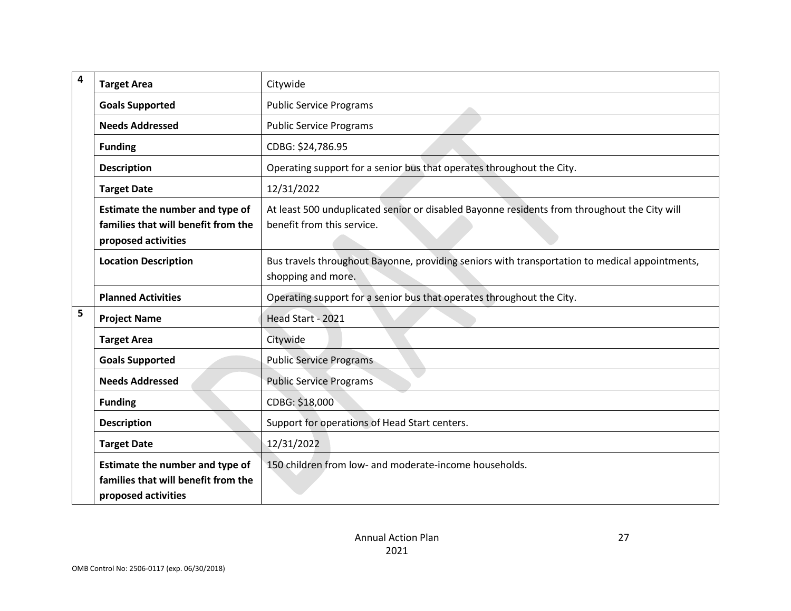| $\overline{\mathbf{4}}$ | <b>Target Area</b>                                                                            | Citywide                                                                                                                   |
|-------------------------|-----------------------------------------------------------------------------------------------|----------------------------------------------------------------------------------------------------------------------------|
|                         | <b>Goals Supported</b>                                                                        | <b>Public Service Programs</b>                                                                                             |
|                         | <b>Needs Addressed</b>                                                                        | <b>Public Service Programs</b>                                                                                             |
|                         | <b>Funding</b>                                                                                | CDBG: \$24,786.95                                                                                                          |
|                         | <b>Description</b>                                                                            | Operating support for a senior bus that operates throughout the City.                                                      |
|                         | <b>Target Date</b>                                                                            | 12/31/2022                                                                                                                 |
|                         | Estimate the number and type of<br>families that will benefit from the<br>proposed activities | At least 500 unduplicated senior or disabled Bayonne residents from throughout the City will<br>benefit from this service. |
|                         | <b>Location Description</b>                                                                   | Bus travels throughout Bayonne, providing seniors with transportation to medical appointments,<br>shopping and more.       |
|                         | <b>Planned Activities</b>                                                                     | Operating support for a senior bus that operates throughout the City.                                                      |
| 5                       | <b>Project Name</b>                                                                           | Head Start - 2021                                                                                                          |
|                         | <b>Target Area</b>                                                                            | Citywide                                                                                                                   |
|                         | <b>Goals Supported</b>                                                                        | <b>Public Service Programs</b>                                                                                             |
|                         | <b>Needs Addressed</b>                                                                        | <b>Public Service Programs</b>                                                                                             |
|                         | <b>Funding</b>                                                                                | CDBG: \$18,000                                                                                                             |
|                         | <b>Description</b>                                                                            | Support for operations of Head Start centers.                                                                              |
|                         | <b>Target Date</b>                                                                            | 12/31/2022                                                                                                                 |
|                         | Estimate the number and type of<br>families that will benefit from the<br>proposed activities | 150 children from low- and moderate-income households.                                                                     |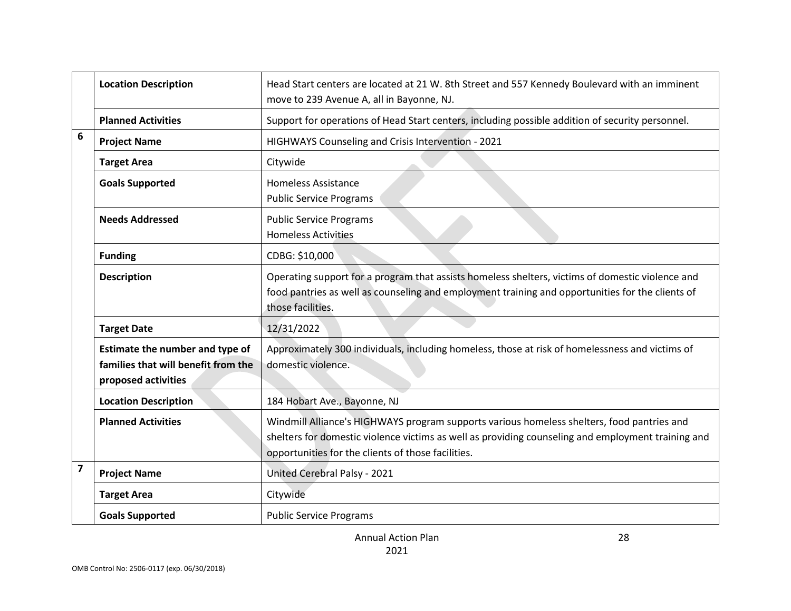|                         | <b>Location Description</b>                                                                   | Head Start centers are located at 21 W. 8th Street and 557 Kennedy Boulevard with an imminent<br>move to 239 Avenue A, all in Bayonne, NJ.                                                                                                             |
|-------------------------|-----------------------------------------------------------------------------------------------|--------------------------------------------------------------------------------------------------------------------------------------------------------------------------------------------------------------------------------------------------------|
|                         | <b>Planned Activities</b>                                                                     | Support for operations of Head Start centers, including possible addition of security personnel.                                                                                                                                                       |
| 6                       | <b>Project Name</b>                                                                           | HIGHWAYS Counseling and Crisis Intervention - 2021                                                                                                                                                                                                     |
|                         | <b>Target Area</b>                                                                            | Citywide                                                                                                                                                                                                                                               |
|                         | <b>Goals Supported</b>                                                                        | <b>Homeless Assistance</b><br><b>Public Service Programs</b>                                                                                                                                                                                           |
|                         | <b>Needs Addressed</b>                                                                        | <b>Public Service Programs</b><br><b>Homeless Activities</b>                                                                                                                                                                                           |
|                         | <b>Funding</b>                                                                                | CDBG: \$10,000                                                                                                                                                                                                                                         |
|                         | <b>Description</b>                                                                            | Operating support for a program that assists homeless shelters, victims of domestic violence and<br>food pantries as well as counseling and employment training and opportunities for the clients of<br>those facilities.                              |
|                         | <b>Target Date</b>                                                                            | 12/31/2022                                                                                                                                                                                                                                             |
|                         | Estimate the number and type of<br>families that will benefit from the<br>proposed activities | Approximately 300 individuals, including homeless, those at risk of homelessness and victims of<br>domestic violence.                                                                                                                                  |
|                         | <b>Location Description</b>                                                                   | 184 Hobart Ave., Bayonne, NJ                                                                                                                                                                                                                           |
|                         | <b>Planned Activities</b>                                                                     | Windmill Alliance's HIGHWAYS program supports various homeless shelters, food pantries and<br>shelters for domestic violence victims as well as providing counseling and employment training and<br>opportunities for the clients of those facilities. |
| $\overline{\mathbf{z}}$ | <b>Project Name</b>                                                                           | United Cerebral Palsy - 2021                                                                                                                                                                                                                           |
|                         | <b>Target Area</b>                                                                            | Citywide                                                                                                                                                                                                                                               |
|                         | <b>Goals Supported</b>                                                                        | <b>Public Service Programs</b>                                                                                                                                                                                                                         |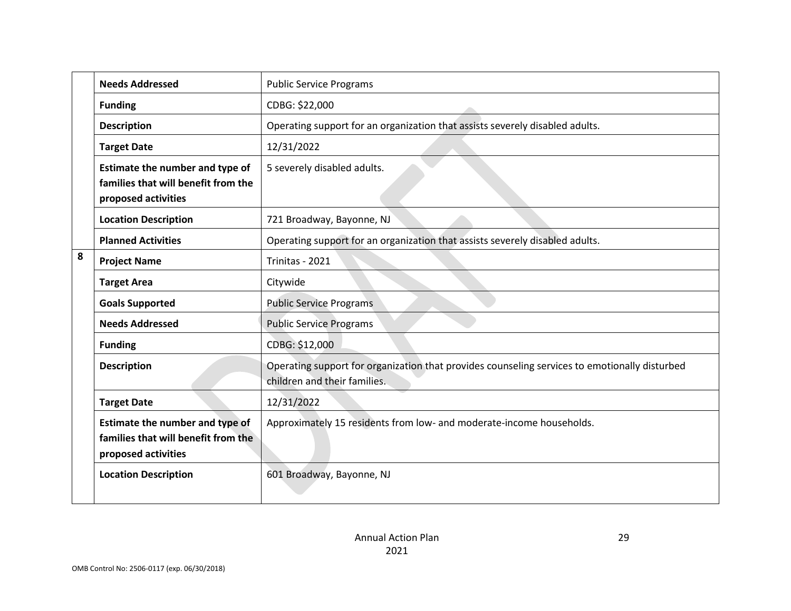|   | <b>Needs Addressed</b>                                                                        | <b>Public Service Programs</b>                                                                                                |
|---|-----------------------------------------------------------------------------------------------|-------------------------------------------------------------------------------------------------------------------------------|
|   | <b>Funding</b>                                                                                | CDBG: \$22,000                                                                                                                |
|   | <b>Description</b>                                                                            | Operating support for an organization that assists severely disabled adults.                                                  |
|   | <b>Target Date</b>                                                                            | 12/31/2022                                                                                                                    |
|   | Estimate the number and type of<br>families that will benefit from the<br>proposed activities | 5 severely disabled adults.                                                                                                   |
|   | <b>Location Description</b>                                                                   | 721 Broadway, Bayonne, NJ                                                                                                     |
|   | <b>Planned Activities</b>                                                                     | Operating support for an organization that assists severely disabled adults.                                                  |
| 8 | <b>Project Name</b>                                                                           | Trinitas - 2021                                                                                                               |
|   | <b>Target Area</b>                                                                            | Citywide                                                                                                                      |
|   | <b>Goals Supported</b>                                                                        | <b>Public Service Programs</b>                                                                                                |
|   | <b>Needs Addressed</b>                                                                        | <b>Public Service Programs</b>                                                                                                |
|   | <b>Funding</b>                                                                                | CDBG: \$12,000                                                                                                                |
|   | <b>Description</b>                                                                            | Operating support for organization that provides counseling services to emotionally disturbed<br>children and their families. |
|   | <b>Target Date</b>                                                                            | 12/31/2022                                                                                                                    |
|   | Estimate the number and type of<br>families that will benefit from the<br>proposed activities | Approximately 15 residents from low- and moderate-income households.                                                          |
|   | <b>Location Description</b>                                                                   | 601 Broadway, Bayonne, NJ                                                                                                     |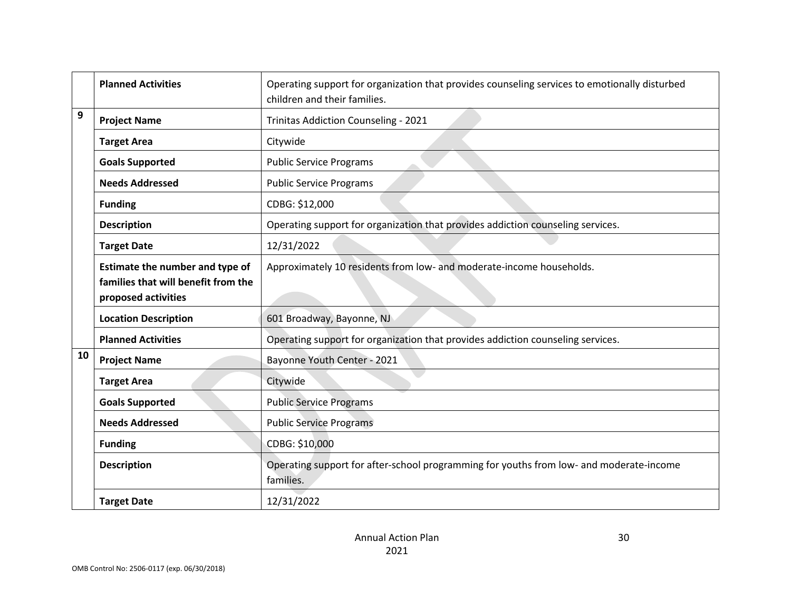|    | <b>Planned Activities</b>                                                                     | Operating support for organization that provides counseling services to emotionally disturbed<br>children and their families. |
|----|-----------------------------------------------------------------------------------------------|-------------------------------------------------------------------------------------------------------------------------------|
| 9  | <b>Project Name</b>                                                                           | Trinitas Addiction Counseling - 2021                                                                                          |
|    | <b>Target Area</b>                                                                            | Citywide                                                                                                                      |
|    | <b>Goals Supported</b>                                                                        | <b>Public Service Programs</b>                                                                                                |
|    | <b>Needs Addressed</b>                                                                        | <b>Public Service Programs</b>                                                                                                |
|    | <b>Funding</b>                                                                                | CDBG: \$12,000                                                                                                                |
|    | <b>Description</b>                                                                            | Operating support for organization that provides addiction counseling services.                                               |
|    | <b>Target Date</b>                                                                            | 12/31/2022                                                                                                                    |
|    | Estimate the number and type of<br>families that will benefit from the<br>proposed activities | Approximately 10 residents from low- and moderate-income households.                                                          |
|    | <b>Location Description</b>                                                                   | 601 Broadway, Bayonne, NJ                                                                                                     |
|    | <b>Planned Activities</b>                                                                     | Operating support for organization that provides addiction counseling services.                                               |
| 10 | <b>Project Name</b>                                                                           | Bayonne Youth Center - 2021                                                                                                   |
|    | <b>Target Area</b>                                                                            | Citywide                                                                                                                      |
|    | <b>Goals Supported</b>                                                                        | <b>Public Service Programs</b>                                                                                                |
|    | <b>Needs Addressed</b>                                                                        | <b>Public Service Programs</b>                                                                                                |
|    | <b>Funding</b>                                                                                | CDBG: \$10,000                                                                                                                |
|    | <b>Description</b>                                                                            | Operating support for after-school programming for youths from low- and moderate-income<br>families.                          |
|    | <b>Target Date</b>                                                                            | 12/31/2022                                                                                                                    |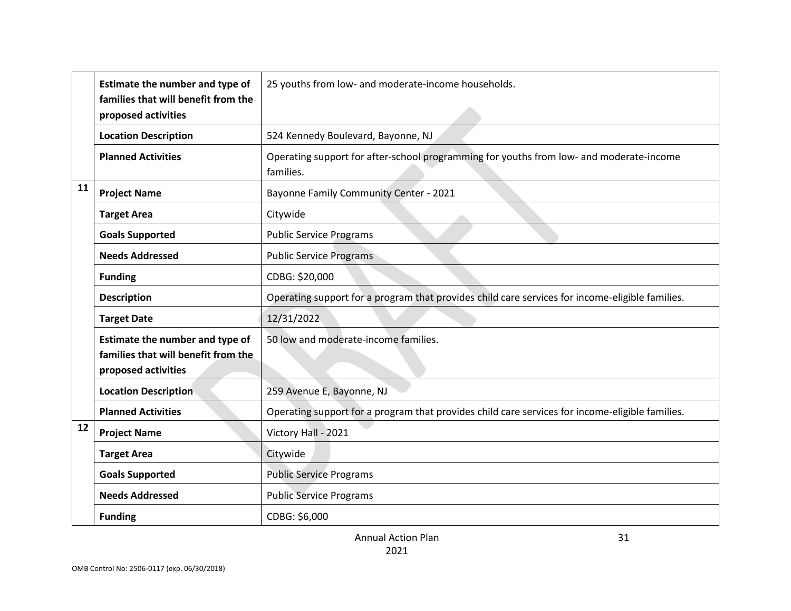|    | Estimate the number and type of     | 25 youths from low- and moderate-income households.                                                  |
|----|-------------------------------------|------------------------------------------------------------------------------------------------------|
|    | families that will benefit from the |                                                                                                      |
|    | proposed activities                 |                                                                                                      |
|    | <b>Location Description</b>         | 524 Kennedy Boulevard, Bayonne, NJ                                                                   |
|    | <b>Planned Activities</b>           | Operating support for after-school programming for youths from low- and moderate-income<br>families. |
| 11 | <b>Project Name</b>                 | Bayonne Family Community Center - 2021                                                               |
|    | <b>Target Area</b>                  | Citywide                                                                                             |
|    | <b>Goals Supported</b>              | <b>Public Service Programs</b>                                                                       |
|    | <b>Needs Addressed</b>              | <b>Public Service Programs</b>                                                                       |
|    | <b>Funding</b>                      | CDBG: \$20,000                                                                                       |
|    | <b>Description</b>                  | Operating support for a program that provides child care services for income-eligible families.      |
|    | <b>Target Date</b>                  | 12/31/2022                                                                                           |
|    | Estimate the number and type of     | 50 low and moderate-income families.                                                                 |
|    | families that will benefit from the |                                                                                                      |
|    | proposed activities                 |                                                                                                      |
|    | <b>Location Description</b>         | 259 Avenue E, Bayonne, NJ                                                                            |
|    | <b>Planned Activities</b>           | Operating support for a program that provides child care services for income-eligible families.      |
| 12 | <b>Project Name</b>                 | Victory Hall - 2021                                                                                  |
|    | <b>Target Area</b>                  | Citywide                                                                                             |
|    | <b>Goals Supported</b>              | <b>Public Service Programs</b>                                                                       |
|    | <b>Needs Addressed</b>              | <b>Public Service Programs</b>                                                                       |
|    | <b>Funding</b>                      | CDBG: \$6,000                                                                                        |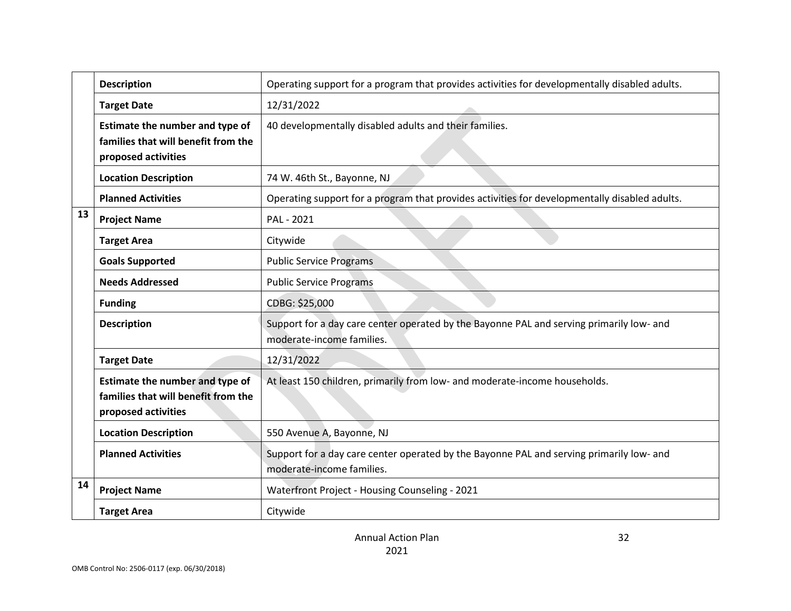|    | <b>Description</b>                                                                            | Operating support for a program that provides activities for developmentally disabled adults.                         |
|----|-----------------------------------------------------------------------------------------------|-----------------------------------------------------------------------------------------------------------------------|
|    | <b>Target Date</b>                                                                            | 12/31/2022                                                                                                            |
|    | Estimate the number and type of<br>families that will benefit from the<br>proposed activities | 40 developmentally disabled adults and their families.                                                                |
|    | <b>Location Description</b>                                                                   | 74 W. 46th St., Bayonne, NJ                                                                                           |
|    | <b>Planned Activities</b>                                                                     | Operating support for a program that provides activities for developmentally disabled adults.                         |
| 13 | <b>Project Name</b>                                                                           | PAL - 2021                                                                                                            |
|    | <b>Target Area</b>                                                                            | Citywide                                                                                                              |
|    | <b>Goals Supported</b>                                                                        | <b>Public Service Programs</b>                                                                                        |
|    | <b>Needs Addressed</b>                                                                        | <b>Public Service Programs</b>                                                                                        |
|    | <b>Funding</b>                                                                                | CDBG: \$25,000                                                                                                        |
|    | <b>Description</b>                                                                            | Support for a day care center operated by the Bayonne PAL and serving primarily low- and<br>moderate-income families. |
|    | <b>Target Date</b>                                                                            | 12/31/2022                                                                                                            |
|    | Estimate the number and type of<br>families that will benefit from the<br>proposed activities | At least 150 children, primarily from low- and moderate-income households.                                            |
|    | <b>Location Description</b>                                                                   | 550 Avenue A, Bayonne, NJ                                                                                             |
|    | <b>Planned Activities</b>                                                                     | Support for a day care center operated by the Bayonne PAL and serving primarily low- and<br>moderate-income families. |
| 14 | <b>Project Name</b>                                                                           | Waterfront Project - Housing Counseling - 2021                                                                        |
|    | <b>Target Area</b>                                                                            | Citywide                                                                                                              |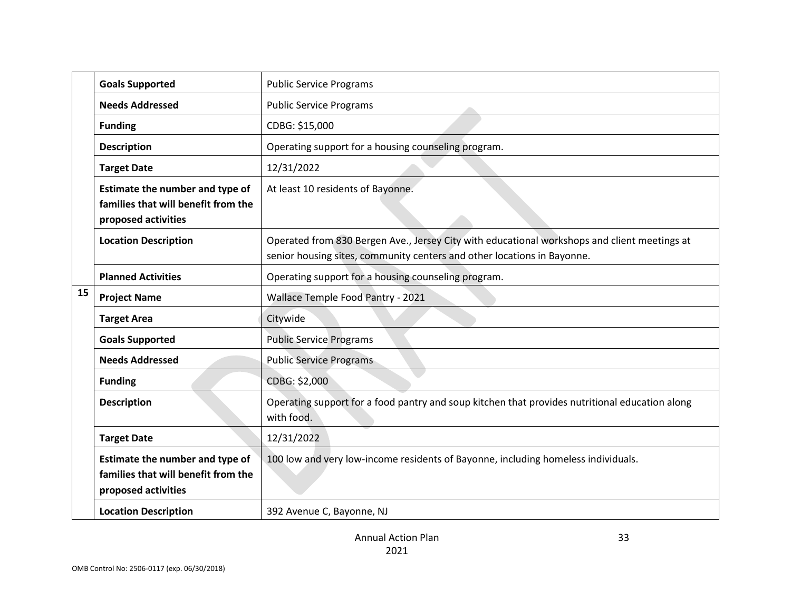|    | <b>Goals Supported</b>                                                                        | <b>Public Service Programs</b>                                                                                                                                          |
|----|-----------------------------------------------------------------------------------------------|-------------------------------------------------------------------------------------------------------------------------------------------------------------------------|
|    | <b>Needs Addressed</b>                                                                        | <b>Public Service Programs</b>                                                                                                                                          |
|    | <b>Funding</b>                                                                                | CDBG: \$15,000                                                                                                                                                          |
|    | <b>Description</b>                                                                            | Operating support for a housing counseling program.                                                                                                                     |
|    | <b>Target Date</b>                                                                            | 12/31/2022                                                                                                                                                              |
|    | Estimate the number and type of<br>families that will benefit from the<br>proposed activities | At least 10 residents of Bayonne.                                                                                                                                       |
|    | <b>Location Description</b>                                                                   | Operated from 830 Bergen Ave., Jersey City with educational workshops and client meetings at<br>senior housing sites, community centers and other locations in Bayonne. |
|    | <b>Planned Activities</b>                                                                     | Operating support for a housing counseling program.                                                                                                                     |
| 15 | <b>Project Name</b>                                                                           | Wallace Temple Food Pantry - 2021                                                                                                                                       |
|    | <b>Target Area</b>                                                                            | Citywide                                                                                                                                                                |
|    | <b>Goals Supported</b>                                                                        | <b>Public Service Programs</b>                                                                                                                                          |
|    | <b>Needs Addressed</b>                                                                        | <b>Public Service Programs</b>                                                                                                                                          |
|    | <b>Funding</b>                                                                                | CDBG: \$2,000                                                                                                                                                           |
|    | <b>Description</b>                                                                            | Operating support for a food pantry and soup kitchen that provides nutritional education along<br>with food.                                                            |
|    | <b>Target Date</b>                                                                            | 12/31/2022                                                                                                                                                              |
|    | Estimate the number and type of<br>families that will benefit from the<br>proposed activities | 100 low and very low-income residents of Bayonne, including homeless individuals.                                                                                       |
|    | <b>Location Description</b>                                                                   | 392 Avenue C, Bayonne, NJ                                                                                                                                               |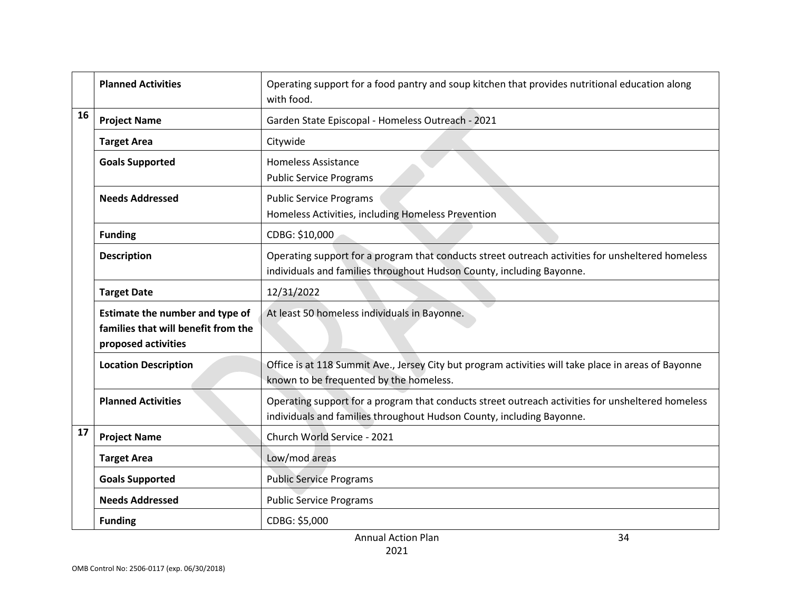|                                                                                               | <b>Planned Activities</b>   | Operating support for a food pantry and soup kitchen that provides nutritional education along<br>with food.                                                               |
|-----------------------------------------------------------------------------------------------|-----------------------------|----------------------------------------------------------------------------------------------------------------------------------------------------------------------------|
| 16                                                                                            | <b>Project Name</b>         | Garden State Episcopal - Homeless Outreach - 2021                                                                                                                          |
|                                                                                               | <b>Target Area</b>          | Citywide                                                                                                                                                                   |
|                                                                                               | <b>Goals Supported</b>      | <b>Homeless Assistance</b><br><b>Public Service Programs</b>                                                                                                               |
| <b>Needs Addressed</b><br><b>Public Service Programs</b>                                      |                             | Homeless Activities, including Homeless Prevention                                                                                                                         |
|                                                                                               | <b>Funding</b>              | CDBG: \$10,000                                                                                                                                                             |
|                                                                                               | <b>Description</b>          | Operating support for a program that conducts street outreach activities for unsheltered homeless<br>individuals and families throughout Hudson County, including Bayonne. |
|                                                                                               | <b>Target Date</b>          | 12/31/2022                                                                                                                                                                 |
| Estimate the number and type of<br>families that will benefit from the<br>proposed activities |                             | At least 50 homeless individuals in Bayonne.                                                                                                                               |
|                                                                                               | <b>Location Description</b> | Office is at 118 Summit Ave., Jersey City but program activities will take place in areas of Bayonne<br>known to be frequented by the homeless.                            |
|                                                                                               | <b>Planned Activities</b>   | Operating support for a program that conducts street outreach activities for unsheltered homeless<br>individuals and families throughout Hudson County, including Bayonne. |
| 17                                                                                            | <b>Project Name</b>         | Church World Service - 2021                                                                                                                                                |
|                                                                                               | <b>Target Area</b>          | Low/mod areas                                                                                                                                                              |
|                                                                                               | <b>Goals Supported</b>      | <b>Public Service Programs</b>                                                                                                                                             |
|                                                                                               | <b>Needs Addressed</b>      | <b>Public Service Programs</b>                                                                                                                                             |
|                                                                                               | <b>Funding</b>              | CDBG: \$5,000                                                                                                                                                              |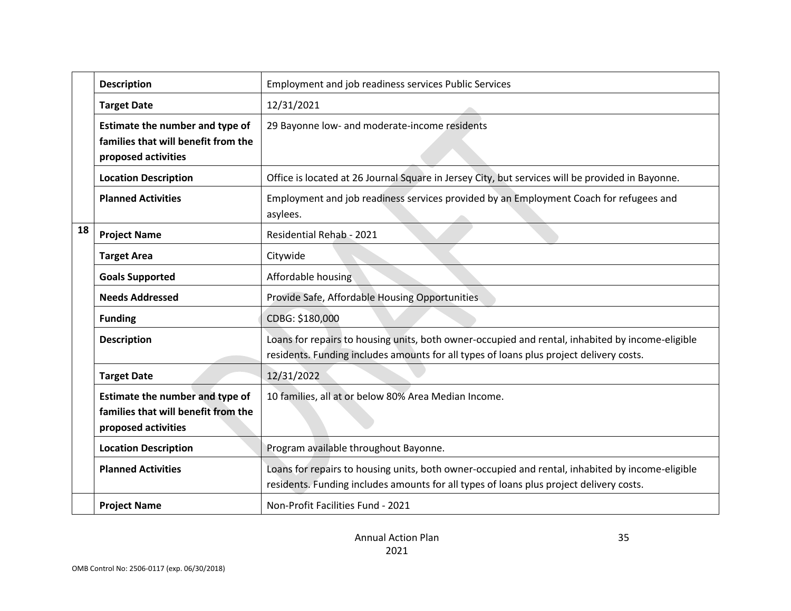|                                                       | <b>Description</b>                                                                            | <b>Employment and job readiness services Public Services</b>                                                                                                                                |
|-------------------------------------------------------|-----------------------------------------------------------------------------------------------|---------------------------------------------------------------------------------------------------------------------------------------------------------------------------------------------|
|                                                       | <b>Target Date</b>                                                                            | 12/31/2021                                                                                                                                                                                  |
|                                                       | Estimate the number and type of<br>families that will benefit from the<br>proposed activities | 29 Bayonne low- and moderate-income residents                                                                                                                                               |
|                                                       | <b>Location Description</b>                                                                   | Office is located at 26 Journal Square in Jersey City, but services will be provided in Bayonne.                                                                                            |
|                                                       | <b>Planned Activities</b>                                                                     | Employment and job readiness services provided by an Employment Coach for refugees and<br>asylees.                                                                                          |
| 18<br>Residential Rehab - 2021<br><b>Project Name</b> |                                                                                               |                                                                                                                                                                                             |
|                                                       | <b>Target Area</b>                                                                            | Citywide                                                                                                                                                                                    |
|                                                       | <b>Goals Supported</b>                                                                        | Affordable housing                                                                                                                                                                          |
|                                                       | <b>Needs Addressed</b>                                                                        | Provide Safe, Affordable Housing Opportunities                                                                                                                                              |
|                                                       | <b>Funding</b>                                                                                | CDBG: \$180,000                                                                                                                                                                             |
|                                                       | <b>Description</b>                                                                            | Loans for repairs to housing units, both owner-occupied and rental, inhabited by income-eligible<br>residents. Funding includes amounts for all types of loans plus project delivery costs. |
|                                                       | <b>Target Date</b>                                                                            | 12/31/2022                                                                                                                                                                                  |
|                                                       | Estimate the number and type of<br>families that will benefit from the<br>proposed activities | 10 families, all at or below 80% Area Median Income.                                                                                                                                        |
|                                                       | <b>Location Description</b>                                                                   | Program available throughout Bayonne.                                                                                                                                                       |
|                                                       | <b>Planned Activities</b>                                                                     | Loans for repairs to housing units, both owner-occupied and rental, inhabited by income-eligible<br>residents. Funding includes amounts for all types of loans plus project delivery costs. |
|                                                       | <b>Project Name</b>                                                                           | Non-Profit Facilities Fund - 2021                                                                                                                                                           |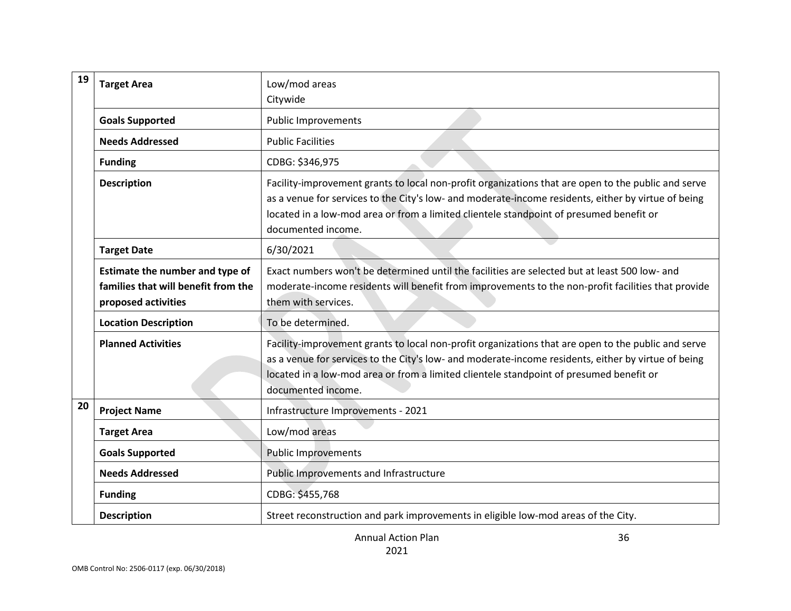| 19 | <b>Target Area</b>                                                                            | Low/mod areas                                                                                                                                                                                                                                                                                                               |
|----|-----------------------------------------------------------------------------------------------|-----------------------------------------------------------------------------------------------------------------------------------------------------------------------------------------------------------------------------------------------------------------------------------------------------------------------------|
|    |                                                                                               | Citywide                                                                                                                                                                                                                                                                                                                    |
|    | <b>Goals Supported</b>                                                                        | <b>Public Improvements</b>                                                                                                                                                                                                                                                                                                  |
|    | <b>Needs Addressed</b>                                                                        | <b>Public Facilities</b>                                                                                                                                                                                                                                                                                                    |
|    | <b>Funding</b>                                                                                | CDBG: \$346,975                                                                                                                                                                                                                                                                                                             |
|    | <b>Description</b>                                                                            | Facility-improvement grants to local non-profit organizations that are open to the public and serve<br>as a venue for services to the City's low- and moderate-income residents, either by virtue of being<br>located in a low-mod area or from a limited clientele standpoint of presumed benefit or<br>documented income. |
|    | <b>Target Date</b>                                                                            | 6/30/2021                                                                                                                                                                                                                                                                                                                   |
|    | Estimate the number and type of<br>families that will benefit from the<br>proposed activities | Exact numbers won't be determined until the facilities are selected but at least 500 low- and<br>moderate-income residents will benefit from improvements to the non-profit facilities that provide<br>them with services.                                                                                                  |
|    | <b>Location Description</b>                                                                   | To be determined.                                                                                                                                                                                                                                                                                                           |
|    | <b>Planned Activities</b>                                                                     | Facility-improvement grants to local non-profit organizations that are open to the public and serve<br>as a venue for services to the City's low- and moderate-income residents, either by virtue of being<br>located in a low-mod area or from a limited clientele standpoint of presumed benefit or<br>documented income. |
| 20 | <b>Project Name</b>                                                                           | Infrastructure Improvements - 2021                                                                                                                                                                                                                                                                                          |
|    | <b>Target Area</b>                                                                            | Low/mod areas                                                                                                                                                                                                                                                                                                               |
|    | <b>Goals Supported</b>                                                                        | <b>Public Improvements</b>                                                                                                                                                                                                                                                                                                  |
|    | <b>Needs Addressed</b>                                                                        | Public Improvements and Infrastructure                                                                                                                                                                                                                                                                                      |
|    | <b>Funding</b>                                                                                | CDBG: \$455,768                                                                                                                                                                                                                                                                                                             |
|    | <b>Description</b>                                                                            | Street reconstruction and park improvements in eligible low-mod areas of the City.                                                                                                                                                                                                                                          |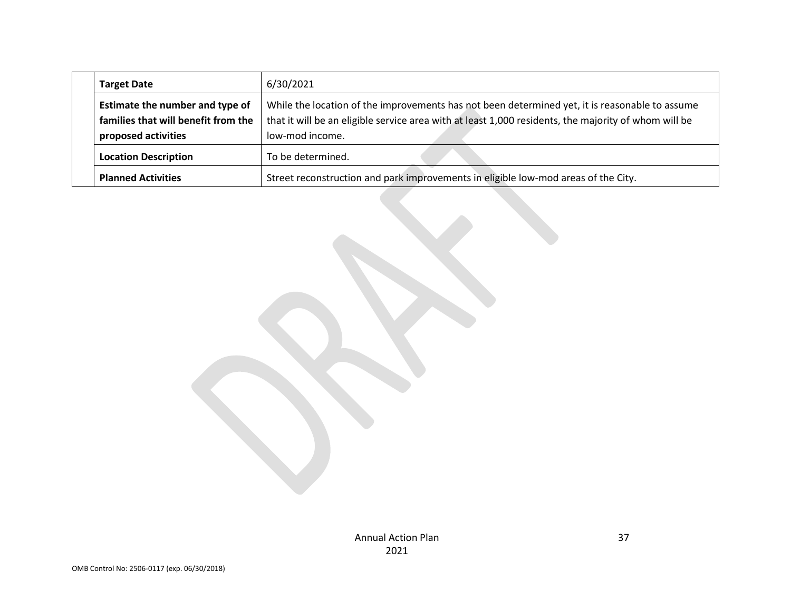| <b>Target Date</b>                                                                            | 6/30/2021                                                                                                                                                                                                                 |
|-----------------------------------------------------------------------------------------------|---------------------------------------------------------------------------------------------------------------------------------------------------------------------------------------------------------------------------|
| Estimate the number and type of<br>families that will benefit from the<br>proposed activities | While the location of the improvements has not been determined yet, it is reasonable to assume<br>that it will be an eligible service area with at least 1,000 residents, the majority of whom will be<br>low-mod income. |
| <b>Location Description</b>                                                                   | To be determined.                                                                                                                                                                                                         |
| <b>Planned Activities</b>                                                                     | Street reconstruction and park improvements in eligible low-mod areas of the City.                                                                                                                                        |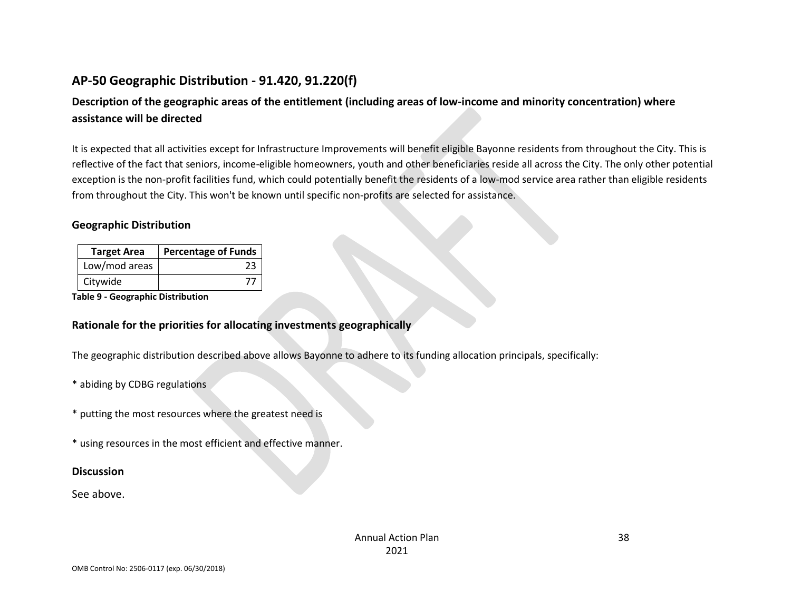# **AP-50 Geographic Distribution - 91.420, 91.220(f)**

# **Description of the geographic areas of the entitlement (including areas of low-income and minority concentration) where assistance will be directed**

It is expected that all activities except for Infrastructure Improvements will benefit eligible Bayonne residents from throughout the City. This is reflective of the fact that seniors, income-eligible homeowners, youth and other beneficiaries reside all across the City. The only other potential exception is the non-profit facilities fund, which could potentially benefit the residents of a low-mod service area rather than eligible residents from throughout the City. This won't be known until specific non-profits are selected for assistance.

#### **Geographic Distribution**

| <b>Target Area</b> | <b>Percentage of Funds</b> |
|--------------------|----------------------------|
| Low/mod areas      | 23                         |
| Citywide           |                            |

**Table 9 - Geographic Distribution** 

#### **Rationale for the priorities for allocating investments geographically**

The geographic distribution described above allows Bayonne to adhere to its funding allocation principals, specifically:

\* abiding by CDBG regulations

\* putting the most resources where the greatest need is

\* using resources in the most efficient and effective manner.

#### **Discussion**

See above.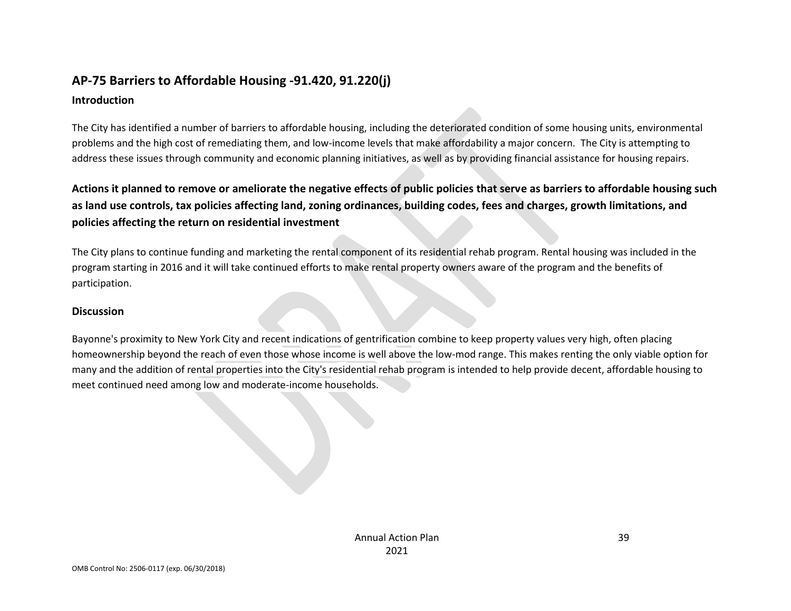# **AP-75 Barriers to Affordable Housing -91.420, 91.220(j)**

#### **Introduction**

The City has identified a number of barriers to affordable housing, including the deteriorated condition of some housing units, environmental problems and the high cost of remediating them, and low-income levels that make affordability a major concern. The City is attempting to address these issues through community and economic planning initiatives, as well as by providing financial assistance for housing repairs.

**Actions it planned to remove or ameliorate the negative effects of public policies that serve as barriers to affordable housing such as land use controls, tax policies affecting land, zoning ordinances, building codes, fees and charges, growth limitations, and policies affecting the return on residential investment**

The City plans to continue funding and marketing the rental component of its residential rehab program. Rental housing was included in the program starting in 2016 and it will take continued efforts to make rental property owners aware of the program and the benefits of participation.

#### **Discussion**

Bayonne's proximity to New York City and recent indications of gentrification combine to keep property values very high, often placing homeownership beyond the reach of even those whose income is well above the low-mod range. This makes renting the only viable option for many and the addition of rental properties into the City's residential rehab program is intended to help provide decent, affordable housing to meet continued need among low and moderate-income households.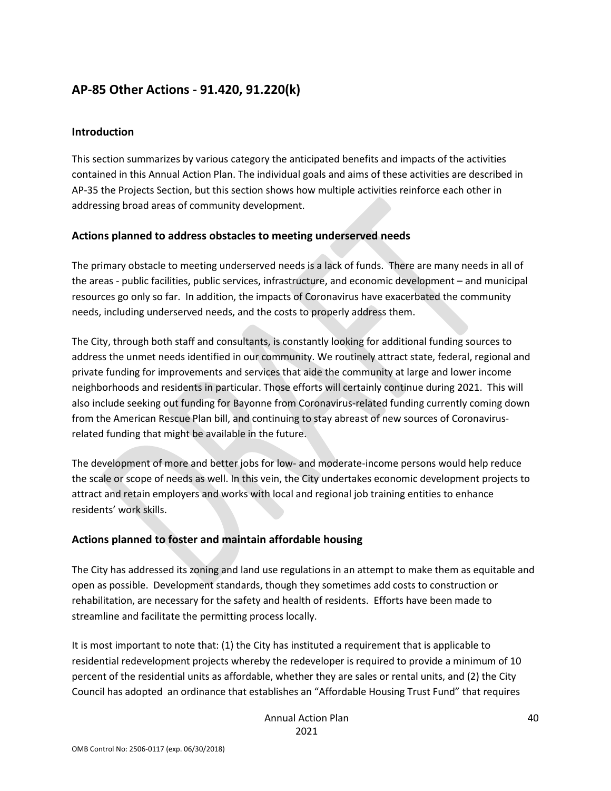## **AP-85 Other Actions - 91.420, 91.220(k)**

#### **Introduction**

This section summarizes by various category the anticipated benefits and impacts of the activities contained in this Annual Action Plan. The individual goals and aims of these activities are described in AP-35 the Projects Section, but this section shows how multiple activities reinforce each other in addressing broad areas of community development.

#### **Actions planned to address obstacles to meeting underserved needs**

The primary obstacle to meeting underserved needs is a lack of funds. There are many needs in all of the areas - public facilities, public services, infrastructure, and economic development – and municipal resources go only so far. In addition, the impacts of Coronavirus have exacerbated the community needs, including underserved needs, and the costs to properly address them.

The City, through both staff and consultants, is constantly looking for additional funding sources to address the unmet needs identified in our community. We routinely attract state, federal, regional and private funding for improvements and services that aide the community at large and lower income neighborhoods and residents in particular. Those efforts will certainly continue during 2021. This will also include seeking out funding for Bayonne from Coronavirus-related funding currently coming down from the American Rescue Plan bill, and continuing to stay abreast of new sources of Coronavirusrelated funding that might be available in the future.

The development of more and better jobs for low- and moderate-income persons would help reduce the scale or scope of needs as well. In this vein, the City undertakes economic development projects to attract and retain employers and works with local and regional job training entities to enhance residents' work skills.

### **Actions planned to foster and maintain affordable housing**

The City has addressed its zoning and land use regulations in an attempt to make them as equitable and open as possible. Development standards, though they sometimes add costs to construction or rehabilitation, are necessary for the safety and health of residents. Efforts have been made to streamline and facilitate the permitting process locally.

It is most important to note that: (1) the City has instituted a requirement that is applicable to residential redevelopment projects whereby the redeveloper is required to provide a minimum of 10 percent of the residential units as affordable, whether they are sales or rental units, and (2) the City Council has adopted an ordinance that establishes an "Affordable Housing Trust Fund" that requires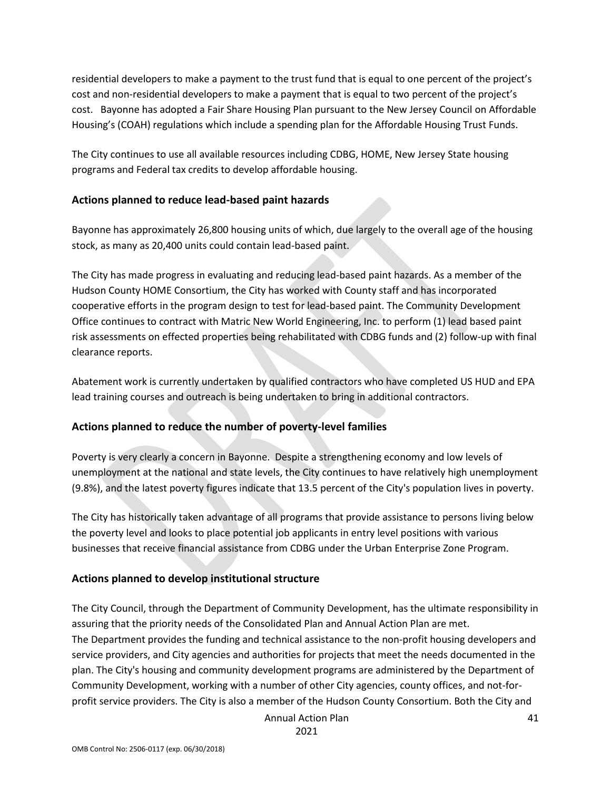residential developers to make a payment to the trust fund that is equal to one percent of the project's cost and non-residential developers to make a payment that is equal to two percent of the project's cost. Bayonne has adopted a Fair Share Housing Plan pursuant to the New Jersey Council on Affordable Housing's (COAH) regulations which include a spending plan for the Affordable Housing Trust Funds.

The City continues to use all available resources including CDBG, HOME, New Jersey State housing programs and Federal tax credits to develop affordable housing.

#### **Actions planned to reduce lead-based paint hazards**

Bayonne has approximately 26,800 housing units of which, due largely to the overall age of the housing stock, as many as 20,400 units could contain lead-based paint.

The City has made progress in evaluating and reducing lead-based paint hazards. As a member of the Hudson County HOME Consortium, the City has worked with County staff and has incorporated cooperative efforts in the program design to test for lead-based paint. The Community Development Office continues to contract with Matric New World Engineering, Inc. to perform (1) lead based paint risk assessments on effected properties being rehabilitated with CDBG funds and (2) follow-up with final clearance reports.

Abatement work is currently undertaken by qualified contractors who have completed US HUD and EPA lead training courses and outreach is being undertaken to bring in additional contractors.

### **Actions planned to reduce the number of poverty-level families**

Poverty is very clearly a concern in Bayonne. Despite a strengthening economy and low levels of unemployment at the national and state levels, the City continues to have relatively high unemployment (9.8%), and the latest poverty figures indicate that 13.5 percent of the City's population lives in poverty.

The City has historically taken advantage of all programs that provide assistance to persons living below the poverty level and looks to place potential job applicants in entry level positions with various businesses that receive financial assistance from CDBG under the Urban Enterprise Zone Program.

### **Actions planned to develop institutional structure**

The City Council, through the Department of Community Development, has the ultimate responsibility in assuring that the priority needs of the Consolidated Plan and Annual Action Plan are met. The Department provides the funding and technical assistance to the non-profit housing developers and service providers, and City agencies and authorities for projects that meet the needs documented in the plan. The City's housing and community development programs are administered by the Department of Community Development, working with a number of other City agencies, county offices, and not-forprofit service providers. The City is also a member of the Hudson County Consortium. Both the City and

Annual Action Plan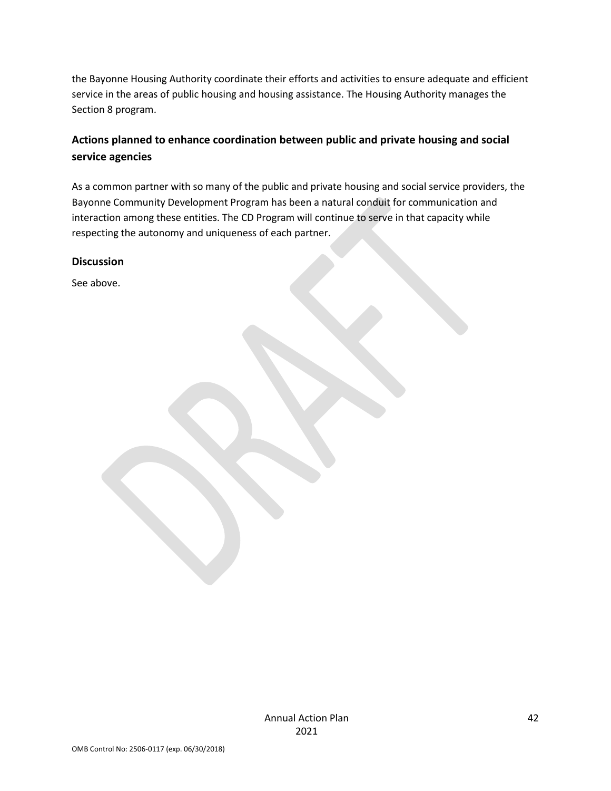the Bayonne Housing Authority coordinate their efforts and activities to ensure adequate and efficient service in the areas of public housing and housing assistance. The Housing Authority manages the Section 8 program.

## **Actions planned to enhance coordination between public and private housing and social service agencies**

As a common partner with so many of the public and private housing and social service providers, the Bayonne Community Development Program has been a natural conduit for communication and interaction among these entities. The CD Program will continue to serve in that capacity while respecting the autonomy and uniqueness of each partner.

#### **Discussion**

See above.